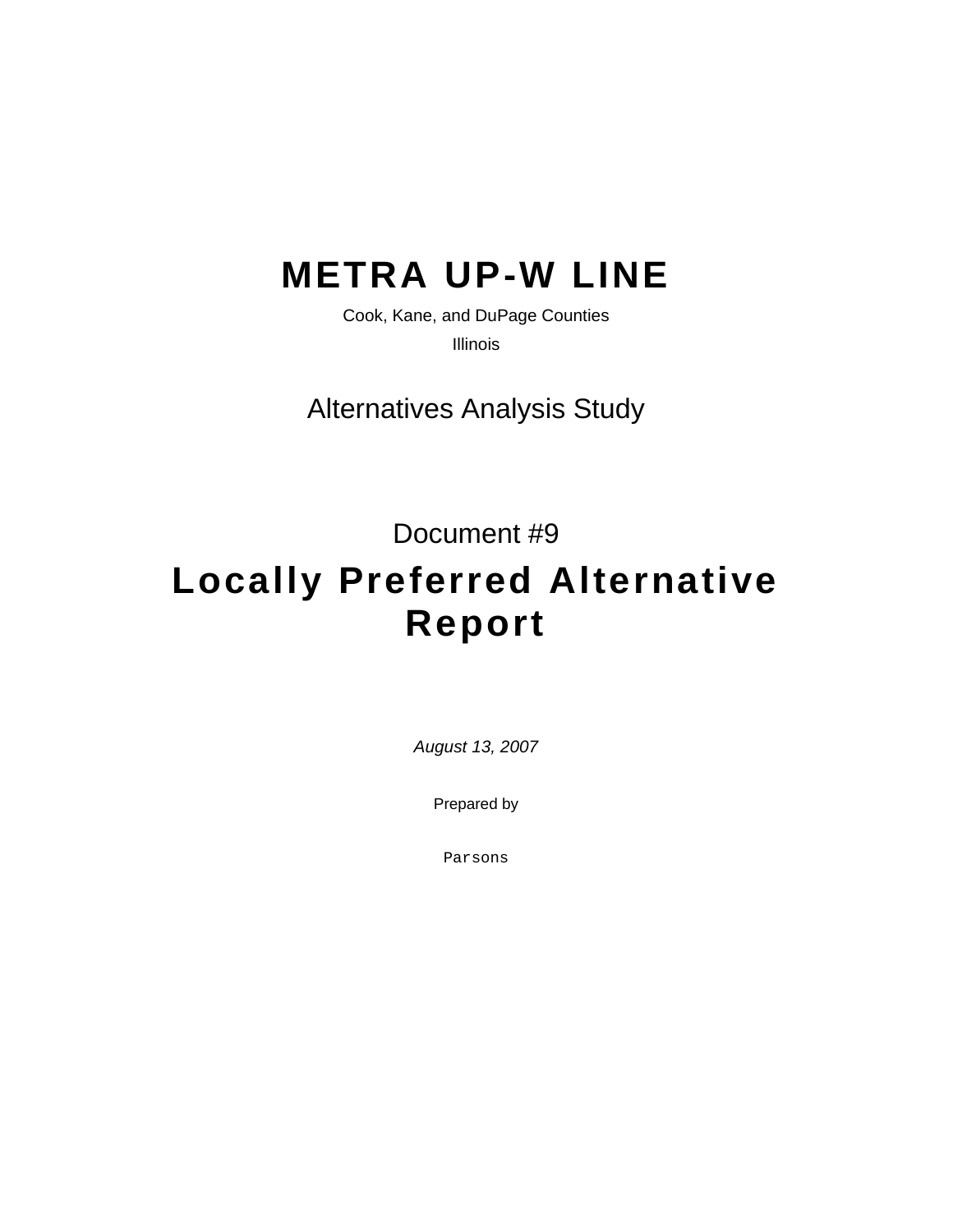# **METRA UP-W LINE**

Cook, Kane, and DuPage Counties Illinois

Alternatives Analysis Study

Document #9

# **Locally Preferred Alternative Report**

*August 13, 2007* 

Prepared by

Parsons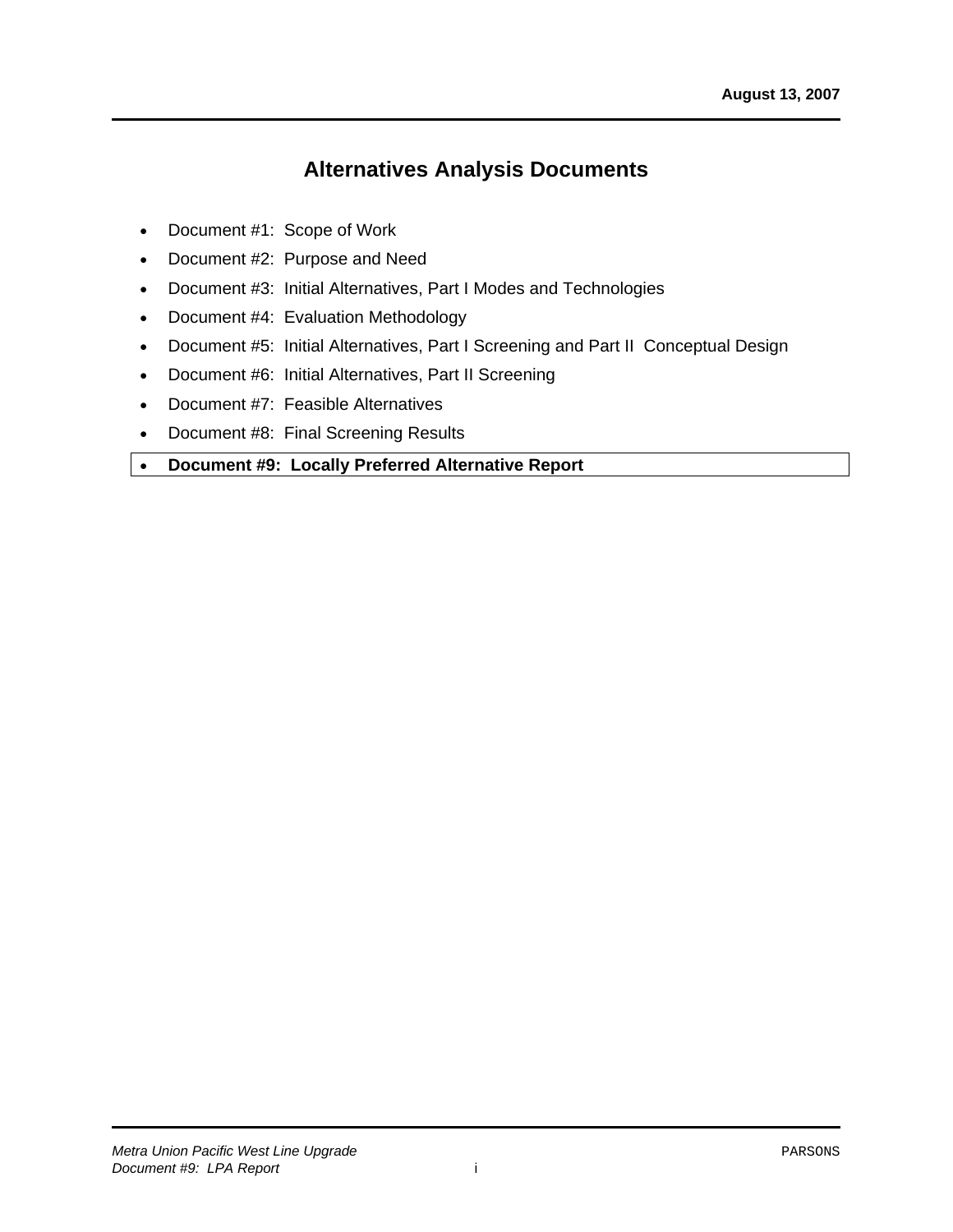## **Alternatives Analysis Documents**

- Document #1: Scope of Work
- Document #2: Purpose and Need
- Document #3: Initial Alternatives, Part I Modes and Technologies
- Document #4: Evaluation Methodology
- Document #5: Initial Alternatives, Part I Screening and Part II Conceptual Design
- Document #6: Initial Alternatives, Part II Screening
- Document #7: Feasible Alternatives
- Document #8: Final Screening Results

#### • **Document #9: Locally Preferred Alternative Report**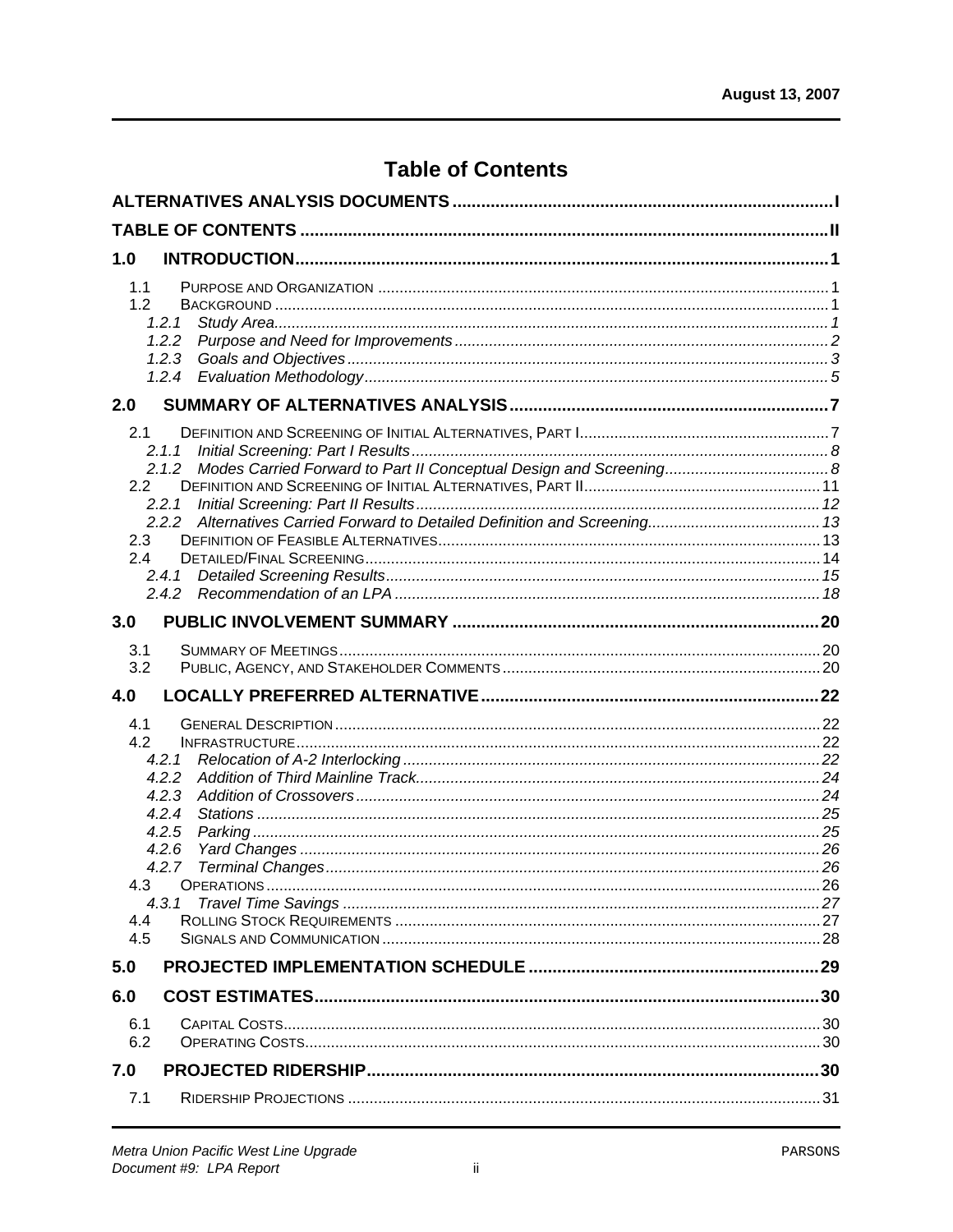# **Table of Contents**

| 1.0                      |                                  |  |
|--------------------------|----------------------------------|--|
| 1.1<br>1.2               | 1.2.1<br>1.2.2<br>1.2.3<br>1.2.4 |  |
| 2.0                      |                                  |  |
| 2.1<br>2.2<br>2.3<br>2.4 | 2.1.1<br>2.2.1<br>2.4.1          |  |
| 3.0                      |                                  |  |
| 3.1                      |                                  |  |
| 3.2                      |                                  |  |
| 4.0                      |                                  |  |
| 4.1<br>4.2               |                                  |  |
|                          | 4.2.1                            |  |
|                          | 4.2.2<br>4.2.3                   |  |
|                          | 4.2.4                            |  |
|                          | 4.2.5                            |  |
|                          | 4.2.6<br>4.2.7                   |  |
|                          |                                  |  |
|                          |                                  |  |
| 4.4<br>4.5               |                                  |  |
| 5.0                      |                                  |  |
| 6.0                      |                                  |  |
| 6.1                      |                                  |  |
| 6.2                      |                                  |  |
| 7.0                      |                                  |  |
| 7.1                      |                                  |  |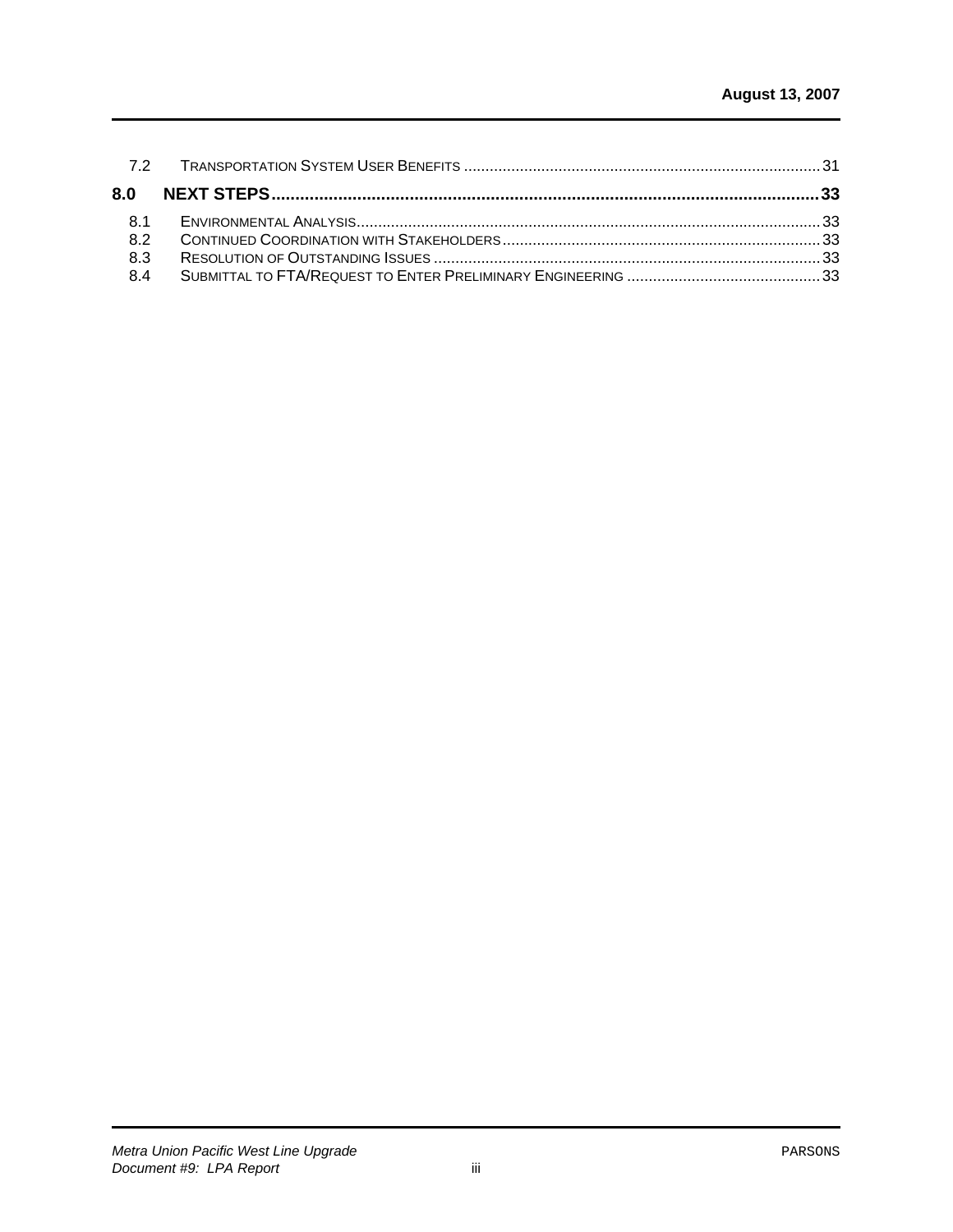| 8.2 |  |
|-----|--|
| 8.3 |  |
| 8.4 |  |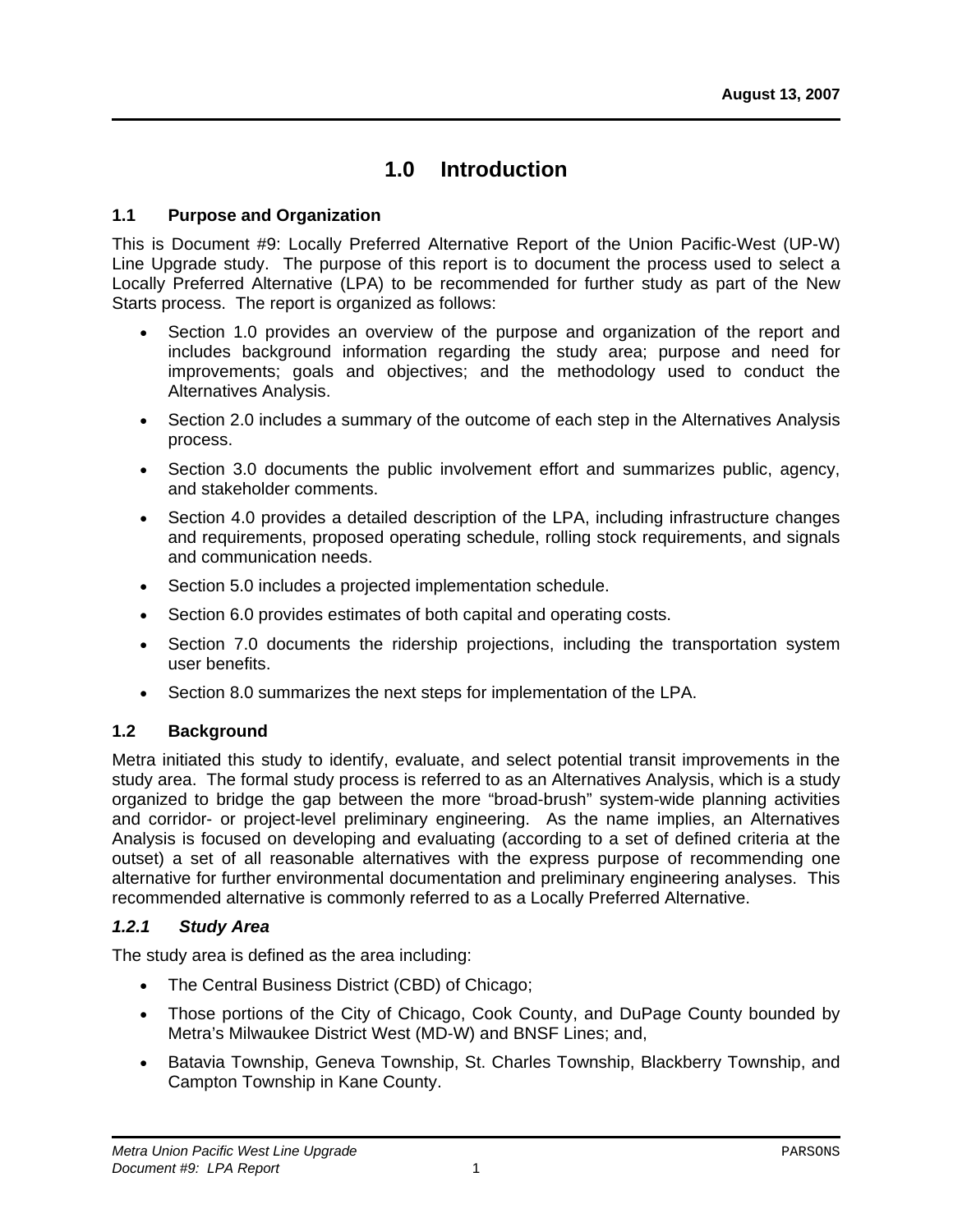### **1.0 Introduction**

#### **1.1 Purpose and Organization**

This is Document #9: Locally Preferred Alternative Report of the Union Pacific-West (UP-W) Line Upgrade study. The purpose of this report is to document the process used to select a Locally Preferred Alternative (LPA) to be recommended for further study as part of the New Starts process. The report is organized as follows:

- Section 1.0 provides an overview of the purpose and organization of the report and includes background information regarding the study area; purpose and need for improvements; goals and objectives; and the methodology used to conduct the Alternatives Analysis.
- Section 2.0 includes a summary of the outcome of each step in the Alternatives Analysis process.
- Section 3.0 documents the public involvement effort and summarizes public, agency, and stakeholder comments.
- Section 4.0 provides a detailed description of the LPA, including infrastructure changes and requirements, proposed operating schedule, rolling stock requirements, and signals and communication needs.
- Section 5.0 includes a projected implementation schedule.
- Section 6.0 provides estimates of both capital and operating costs.
- Section 7.0 documents the ridership projections, including the transportation system user benefits.
- Section 8.0 summarizes the next steps for implementation of the LPA.

#### **1.2 Background**

Metra initiated this study to identify, evaluate, and select potential transit improvements in the study area. The formal study process is referred to as an Alternatives Analysis, which is a study organized to bridge the gap between the more "broad-brush" system-wide planning activities and corridor- or project-level preliminary engineering. As the name implies, an Alternatives Analysis is focused on developing and evaluating (according to a set of defined criteria at the outset) a set of all reasonable alternatives with the express purpose of recommending one alternative for further environmental documentation and preliminary engineering analyses. This recommended alternative is commonly referred to as a Locally Preferred Alternative.

#### *1.2.1 Study Area*

The study area is defined as the area including:

- The Central Business District (CBD) of Chicago;
- Those portions of the City of Chicago, Cook County, and DuPage County bounded by Metra's Milwaukee District West (MD-W) and BNSF Lines; and,
- Batavia Township, Geneva Township, St. Charles Township, Blackberry Township, and Campton Township in Kane County.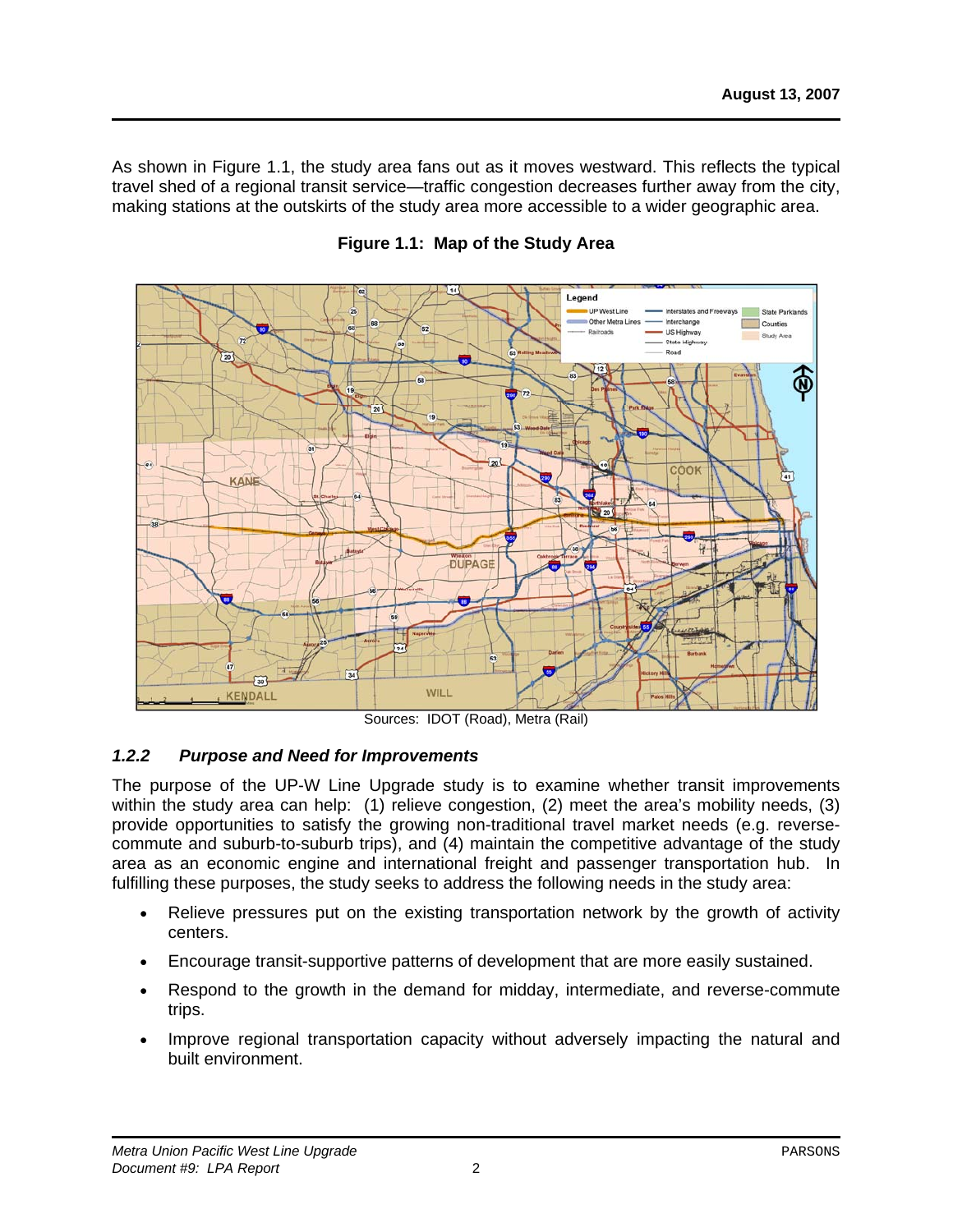As shown in Figure 1.1, the study area fans out as it moves westward. This reflects the typical travel shed of a regional transit service—traffic congestion decreases further away from the city, making stations at the outskirts of the study area more accessible to a wider geographic area.



**Figure 1.1: Map of the Study Area** 

Sources: IDOT (Road), Metra (Rail)

#### *1.2.2 Purpose and Need for Improvements*

The purpose of the UP-W Line Upgrade study is to examine whether transit improvements within the study area can help: (1) relieve congestion, (2) meet the area's mobility needs, (3) provide opportunities to satisfy the growing non-traditional travel market needs (e.g. reversecommute and suburb-to-suburb trips), and (4) maintain the competitive advantage of the study area as an economic engine and international freight and passenger transportation hub. In fulfilling these purposes, the study seeks to address the following needs in the study area:

- Relieve pressures put on the existing transportation network by the growth of activity centers.
- Encourage transit-supportive patterns of development that are more easily sustained.
- Respond to the growth in the demand for midday, intermediate, and reverse-commute trips.
- Improve regional transportation capacity without adversely impacting the natural and built environment.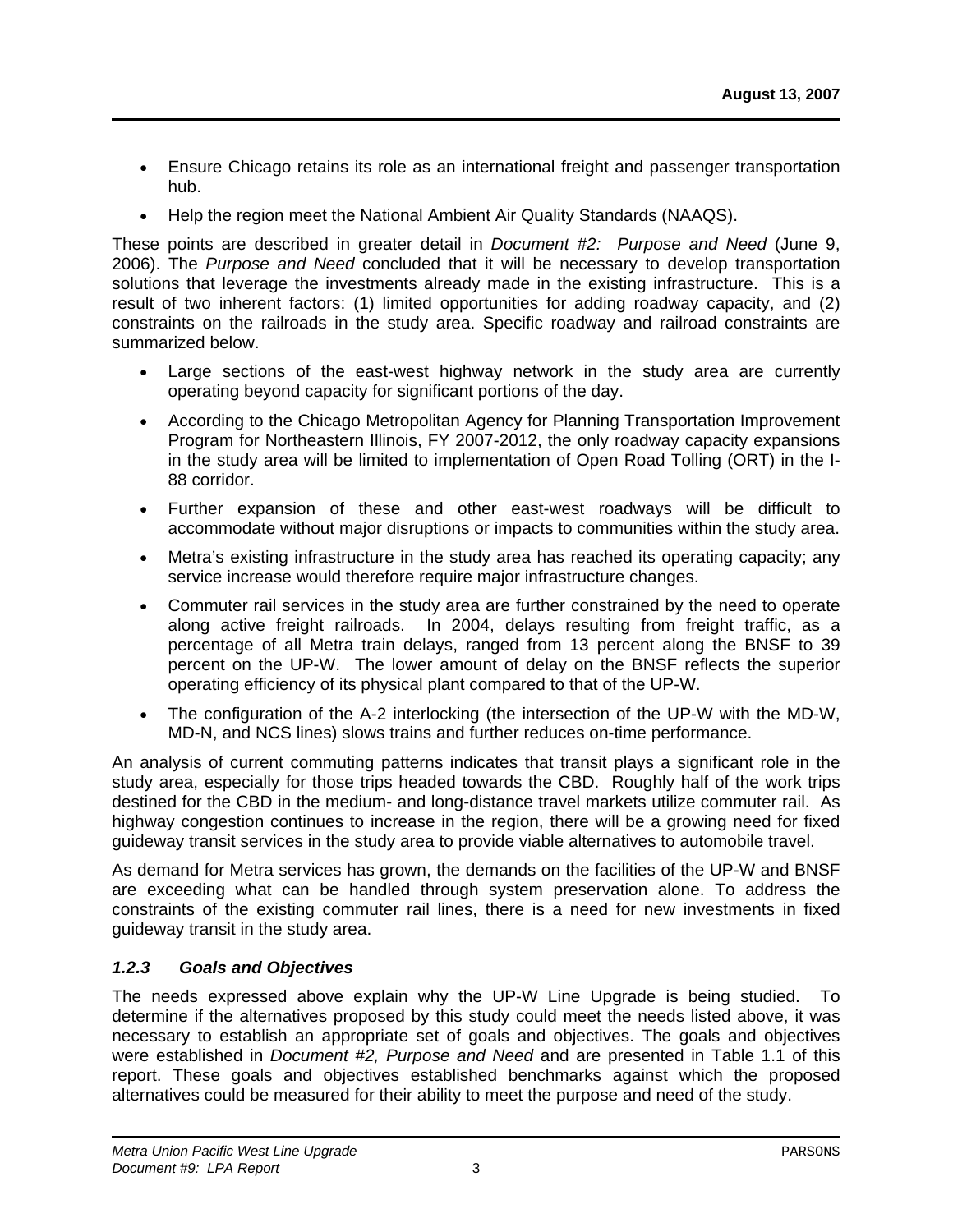- Ensure Chicago retains its role as an international freight and passenger transportation hub.
- Help the region meet the National Ambient Air Quality Standards (NAAQS).

These points are described in greater detail in *Document #2: Purpose and Need* (June 9, 2006). The *Purpose and Need* concluded that it will be necessary to develop transportation solutions that leverage the investments already made in the existing infrastructure. This is a result of two inherent factors: (1) limited opportunities for adding roadway capacity, and (2) constraints on the railroads in the study area. Specific roadway and railroad constraints are summarized below.

- Large sections of the east-west highway network in the study area are currently operating beyond capacity for significant portions of the day.
- According to the Chicago Metropolitan Agency for Planning Transportation Improvement Program for Northeastern Illinois, FY 2007-2012, the only roadway capacity expansions in the study area will be limited to implementation of Open Road Tolling (ORT) in the I-88 corridor.
- Further expansion of these and other east-west roadways will be difficult to accommodate without major disruptions or impacts to communities within the study area.
- Metra's existing infrastructure in the study area has reached its operating capacity; any service increase would therefore require major infrastructure changes.
- Commuter rail services in the study area are further constrained by the need to operate along active freight railroads. In 2004, delays resulting from freight traffic, as a percentage of all Metra train delays, ranged from 13 percent along the BNSF to 39 percent on the UP-W. The lower amount of delay on the BNSF reflects the superior operating efficiency of its physical plant compared to that of the UP-W.
- The configuration of the A-2 interlocking (the intersection of the UP-W with the MD-W, MD-N, and NCS lines) slows trains and further reduces on-time performance.

An analysis of current commuting patterns indicates that transit plays a significant role in the study area, especially for those trips headed towards the CBD. Roughly half of the work trips destined for the CBD in the medium- and long-distance travel markets utilize commuter rail. As highway congestion continues to increase in the region, there will be a growing need for fixed guideway transit services in the study area to provide viable alternatives to automobile travel.

As demand for Metra services has grown, the demands on the facilities of the UP-W and BNSF are exceeding what can be handled through system preservation alone. To address the constraints of the existing commuter rail lines, there is a need for new investments in fixed guideway transit in the study area.

#### *1.2.3 Goals and Objectives*

The needs expressed above explain why the UP-W Line Upgrade is being studied. To determine if the alternatives proposed by this study could meet the needs listed above, it was necessary to establish an appropriate set of goals and objectives. The goals and objectives were established in *Document #2, Purpose and Need* and are presented in Table 1.1 of this report. These goals and objectives established benchmarks against which the proposed alternatives could be measured for their ability to meet the purpose and need of the study.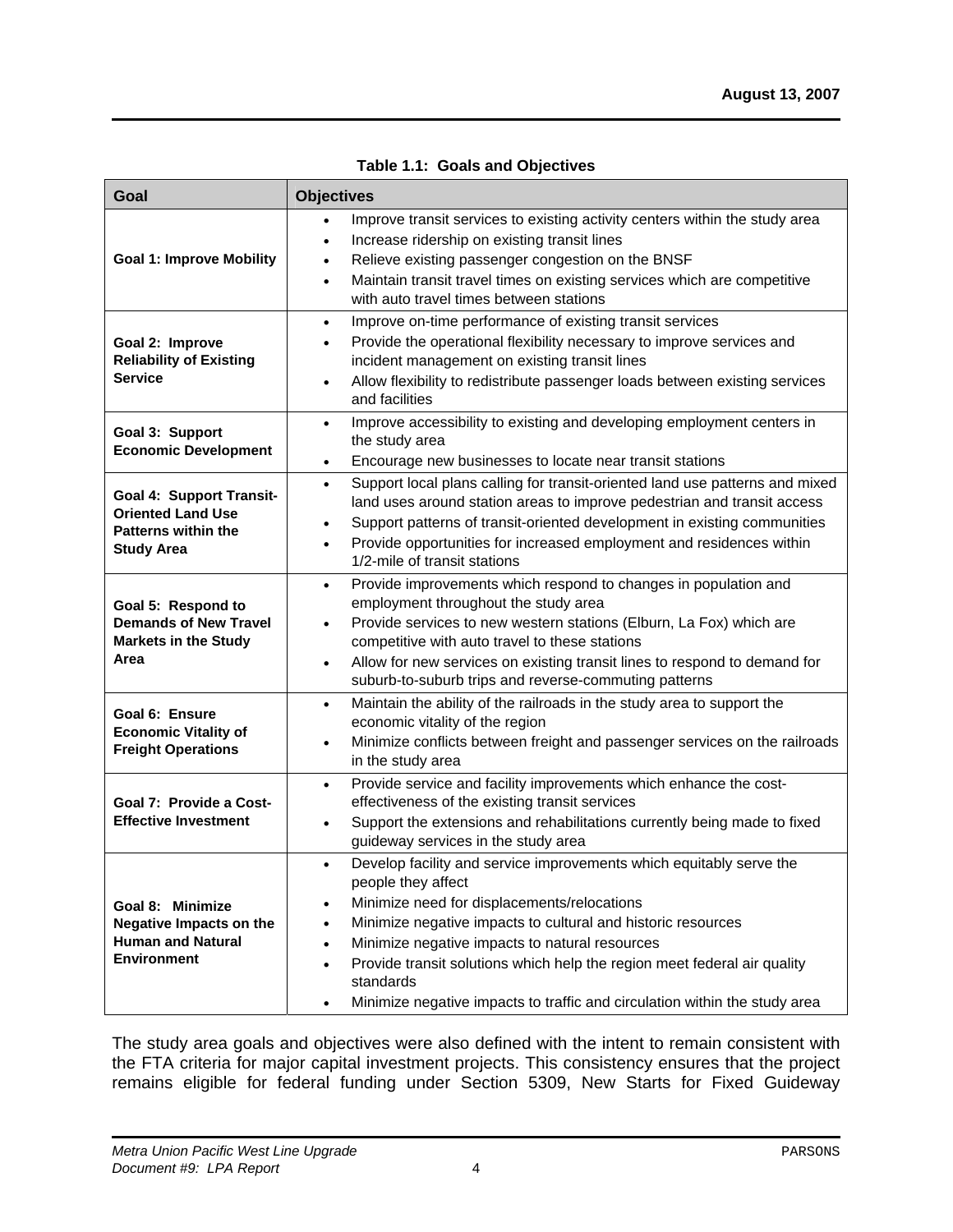| Goal                                                                                                           | <b>Objectives</b>                                                                                                                                                                                                                                                                                                                                                                                                                                                                               |
|----------------------------------------------------------------------------------------------------------------|-------------------------------------------------------------------------------------------------------------------------------------------------------------------------------------------------------------------------------------------------------------------------------------------------------------------------------------------------------------------------------------------------------------------------------------------------------------------------------------------------|
| <b>Goal 1: Improve Mobility</b>                                                                                | Improve transit services to existing activity centers within the study area<br>Increase ridership on existing transit lines<br>$\bullet$<br>Relieve existing passenger congestion on the BNSF<br>$\bullet$<br>Maintain transit travel times on existing services which are competitive<br>$\bullet$<br>with auto travel times between stations                                                                                                                                                  |
| Goal 2: Improve<br><b>Reliability of Existing</b><br><b>Service</b>                                            | Improve on-time performance of existing transit services<br>٠<br>Provide the operational flexibility necessary to improve services and<br>$\bullet$<br>incident management on existing transit lines<br>Allow flexibility to redistribute passenger loads between existing services<br>$\bullet$<br>and facilities                                                                                                                                                                              |
| Goal 3: Support<br><b>Economic Development</b>                                                                 | Improve accessibility to existing and developing employment centers in<br>$\bullet$<br>the study area<br>Encourage new businesses to locate near transit stations<br>٠                                                                                                                                                                                                                                                                                                                          |
| <b>Goal 4: Support Transit-</b><br><b>Oriented Land Use</b><br><b>Patterns within the</b><br><b>Study Area</b> | Support local plans calling for transit-oriented land use patterns and mixed<br>$\bullet$<br>land uses around station areas to improve pedestrian and transit access<br>Support patterns of transit-oriented development in existing communities<br>$\bullet$<br>Provide opportunities for increased employment and residences within<br>$\bullet$<br>1/2-mile of transit stations                                                                                                              |
| Goal 5: Respond to<br><b>Demands of New Travel</b><br><b>Markets in the Study</b><br>Area                      | Provide improvements which respond to changes in population and<br>$\bullet$<br>employment throughout the study area<br>Provide services to new western stations (Elburn, La Fox) which are<br>$\bullet$<br>competitive with auto travel to these stations<br>Allow for new services on existing transit lines to respond to demand for<br>$\bullet$<br>suburb-to-suburb trips and reverse-commuting patterns                                                                                   |
| Goal 6: Ensure<br><b>Economic Vitality of</b><br><b>Freight Operations</b>                                     | Maintain the ability of the railroads in the study area to support the<br>$\bullet$<br>economic vitality of the region<br>Minimize conflicts between freight and passenger services on the railroads<br>$\bullet$<br>in the study area                                                                                                                                                                                                                                                          |
| Goal 7: Provide a Cost-<br><b>Effective Investment</b>                                                         | Provide service and facility improvements which enhance the cost-<br>$\bullet$<br>effectiveness of the existing transit services<br>Support the extensions and rehabilitations currently being made to fixed<br>٠<br>guideway services in the study area                                                                                                                                                                                                                                        |
| Goal 8: Minimize<br><b>Negative Impacts on the</b><br><b>Human and Natural</b><br><b>Environment</b>           | Develop facility and service improvements which equitably serve the<br>$\bullet$<br>people they affect<br>Minimize need for displacements/relocations<br>٠<br>Minimize negative impacts to cultural and historic resources<br>$\bullet$<br>Minimize negative impacts to natural resources<br>$\bullet$<br>Provide transit solutions which help the region meet federal air quality<br>٠<br>standards<br>Minimize negative impacts to traffic and circulation within the study area<br>$\bullet$ |

**Table 1.1: Goals and Objectives** 

The study area goals and objectives were also defined with the intent to remain consistent with the FTA criteria for major capital investment projects. This consistency ensures that the project remains eligible for federal funding under Section 5309, New Starts for Fixed Guideway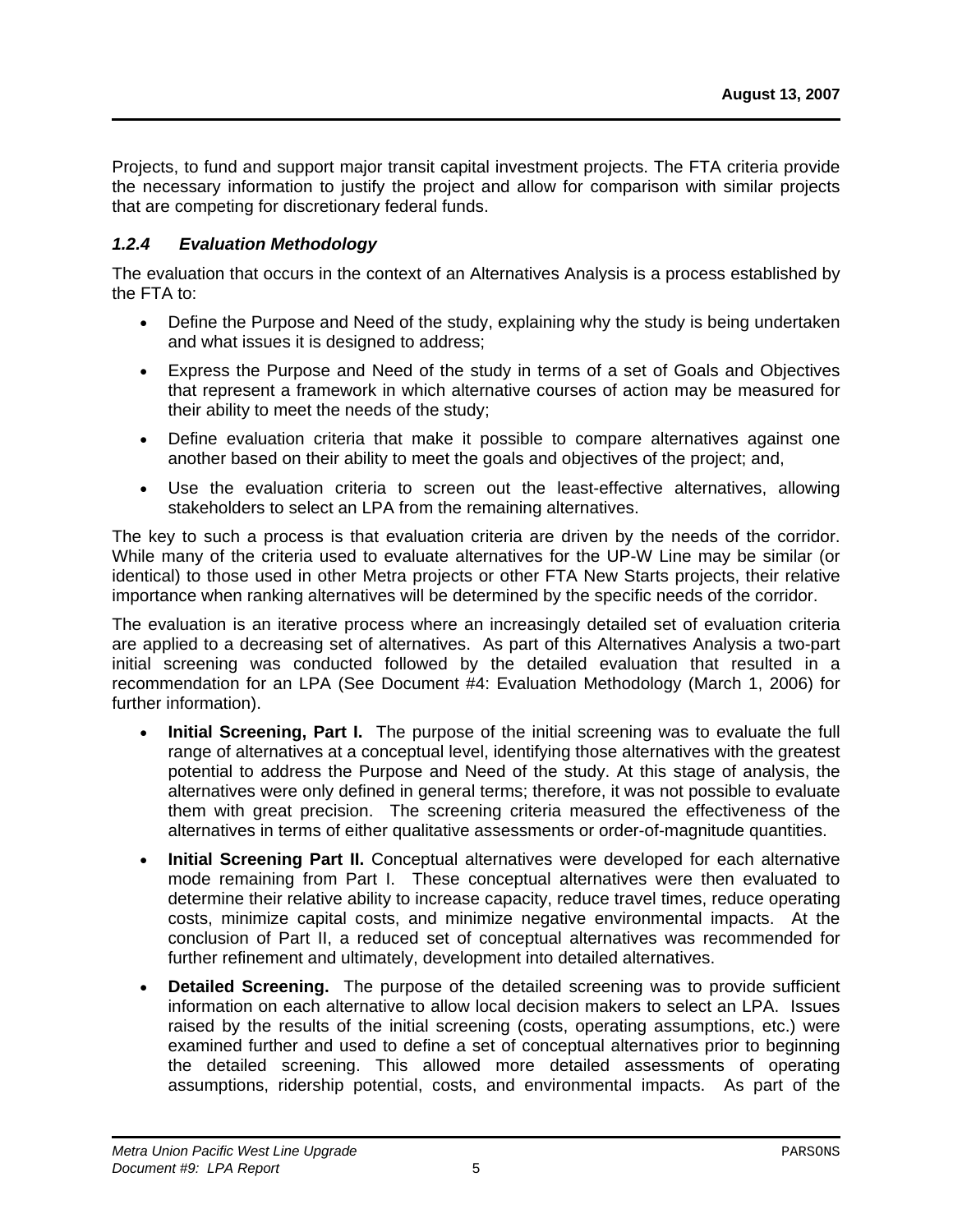Projects, to fund and support major transit capital investment projects. The FTA criteria provide the necessary information to justify the project and allow for comparison with similar projects that are competing for discretionary federal funds.

#### *1.2.4 Evaluation Methodology*

The evaluation that occurs in the context of an Alternatives Analysis is a process established by the FTA to:

- Define the Purpose and Need of the study, explaining why the study is being undertaken and what issues it is designed to address;
- Express the Purpose and Need of the study in terms of a set of Goals and Objectives that represent a framework in which alternative courses of action may be measured for their ability to meet the needs of the study;
- Define evaluation criteria that make it possible to compare alternatives against one another based on their ability to meet the goals and objectives of the project; and,
- Use the evaluation criteria to screen out the least-effective alternatives, allowing stakeholders to select an LPA from the remaining alternatives.

The key to such a process is that evaluation criteria are driven by the needs of the corridor. While many of the criteria used to evaluate alternatives for the UP-W Line may be similar (or identical) to those used in other Metra projects or other FTA New Starts projects, their relative importance when ranking alternatives will be determined by the specific needs of the corridor.

The evaluation is an iterative process where an increasingly detailed set of evaluation criteria are applied to a decreasing set of alternatives. As part of this Alternatives Analysis a two-part initial screening was conducted followed by the detailed evaluation that resulted in a recommendation for an LPA (See Document #4: Evaluation Methodology (March 1, 2006) for further information).

- **Initial Screening, Part I.** The purpose of the initial screening was to evaluate the full range of alternatives at a conceptual level, identifying those alternatives with the greatest potential to address the Purpose and Need of the study. At this stage of analysis, the alternatives were only defined in general terms; therefore, it was not possible to evaluate them with great precision. The screening criteria measured the effectiveness of the alternatives in terms of either qualitative assessments or order-of-magnitude quantities.
- **Initial Screening Part II.** Conceptual alternatives were developed for each alternative mode remaining from Part I. These conceptual alternatives were then evaluated to determine their relative ability to increase capacity, reduce travel times, reduce operating costs, minimize capital costs, and minimize negative environmental impacts. At the conclusion of Part II, a reduced set of conceptual alternatives was recommended for further refinement and ultimately, development into detailed alternatives.
- **Detailed Screening.** The purpose of the detailed screening was to provide sufficient information on each alternative to allow local decision makers to select an LPA. Issues raised by the results of the initial screening (costs, operating assumptions, etc.) were examined further and used to define a set of conceptual alternatives prior to beginning the detailed screening. This allowed more detailed assessments of operating assumptions, ridership potential, costs, and environmental impacts. As part of the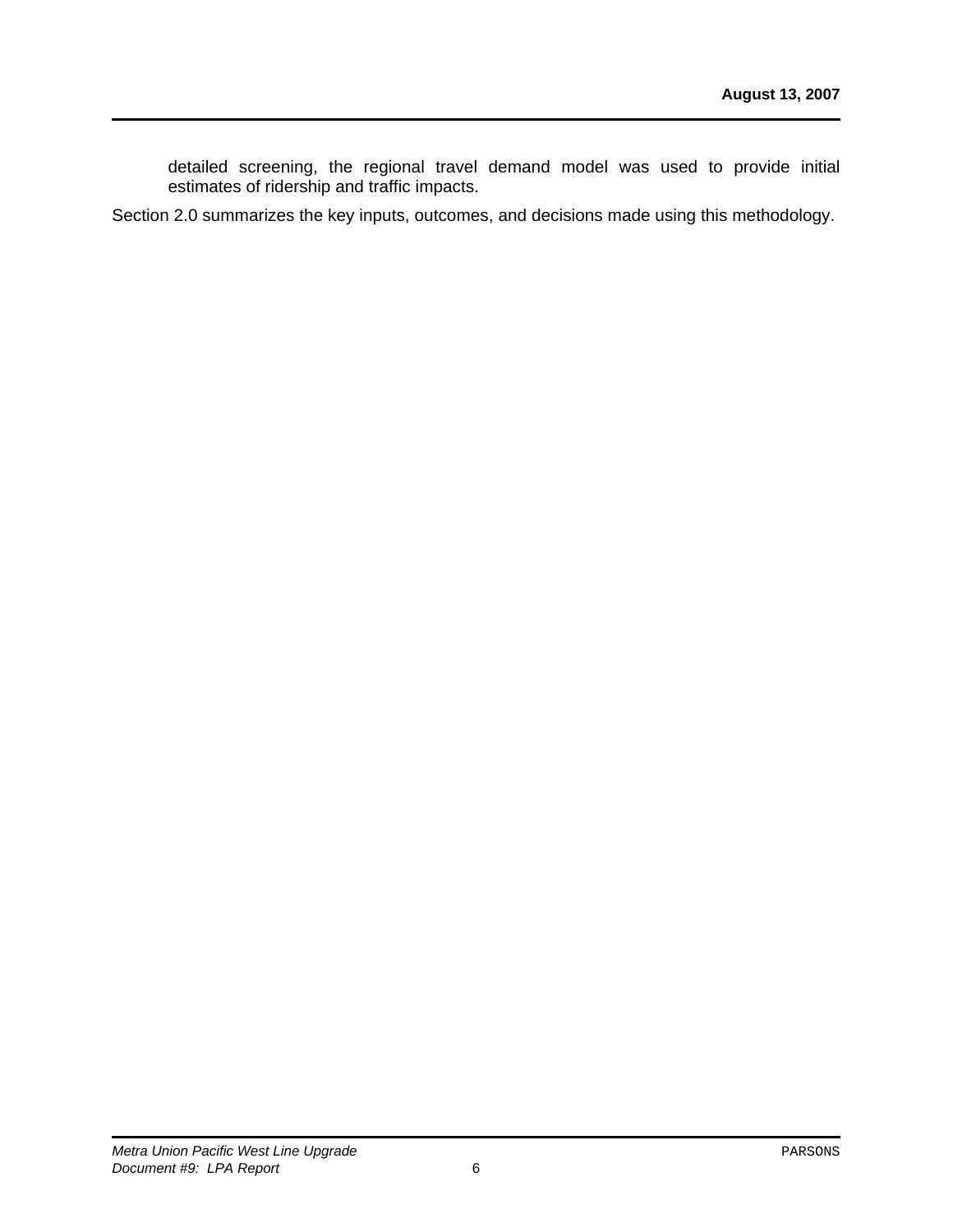detailed screening, the regional travel demand model was used to provide initial estimates of ridership and traffic impacts.

Section 2.0 summarizes the key inputs, outcomes, and decisions made using this methodology.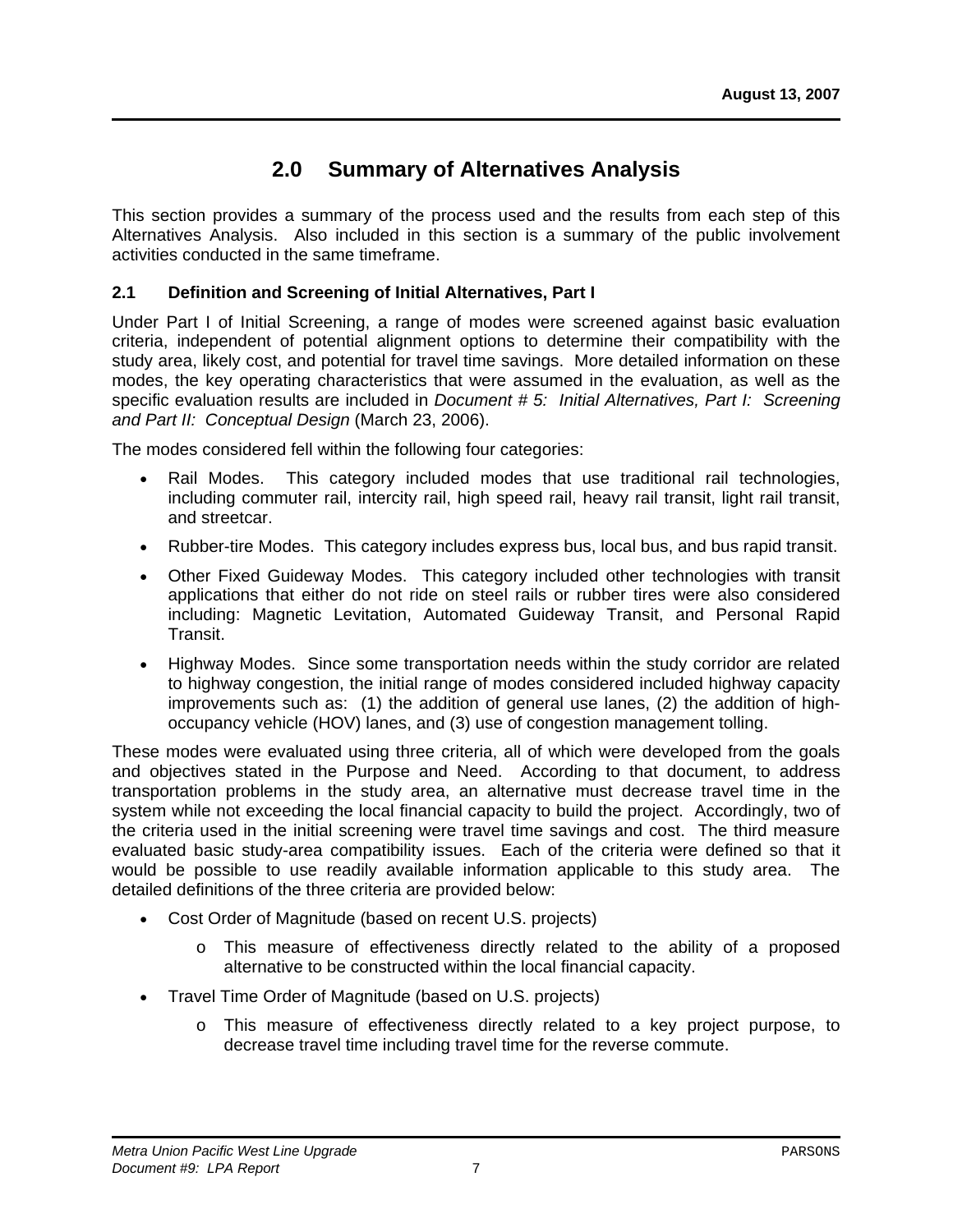## **2.0 Summary of Alternatives Analysis**

This section provides a summary of the process used and the results from each step of this Alternatives Analysis. Also included in this section is a summary of the public involvement activities conducted in the same timeframe.

#### **2.1 Definition and Screening of Initial Alternatives, Part I**

Under Part I of Initial Screening, a range of modes were screened against basic evaluation criteria, independent of potential alignment options to determine their compatibility with the study area, likely cost, and potential for travel time savings. More detailed information on these modes, the key operating characteristics that were assumed in the evaluation, as well as the specific evaluation results are included in *Document # 5: Initial Alternatives, Part I: Screening and Part II: Conceptual Design* (March 23, 2006).

The modes considered fell within the following four categories:

- Rail Modes. This category included modes that use traditional rail technologies, including commuter rail, intercity rail, high speed rail, heavy rail transit, light rail transit, and streetcar.
- Rubber-tire Modes. This category includes express bus, local bus, and bus rapid transit.
- Other Fixed Guideway Modes. This category included other technologies with transit applications that either do not ride on steel rails or rubber tires were also considered including: Magnetic Levitation, Automated Guideway Transit, and Personal Rapid Transit.
- Highway Modes. Since some transportation needs within the study corridor are related to highway congestion, the initial range of modes considered included highway capacity improvements such as: (1) the addition of general use lanes, (2) the addition of highoccupancy vehicle (HOV) lanes, and (3) use of congestion management tolling.

These modes were evaluated using three criteria, all of which were developed from the goals and objectives stated in the Purpose and Need. According to that document, to address transportation problems in the study area, an alternative must decrease travel time in the system while not exceeding the local financial capacity to build the project. Accordingly, two of the criteria used in the initial screening were travel time savings and cost. The third measure evaluated basic study-area compatibility issues. Each of the criteria were defined so that it would be possible to use readily available information applicable to this study area. The detailed definitions of the three criteria are provided below:

- Cost Order of Magnitude (based on recent U.S. projects)
	- o This measure of effectiveness directly related to the ability of a proposed alternative to be constructed within the local financial capacity.
- Travel Time Order of Magnitude (based on U.S. projects)
	- o This measure of effectiveness directly related to a key project purpose, to decrease travel time including travel time for the reverse commute.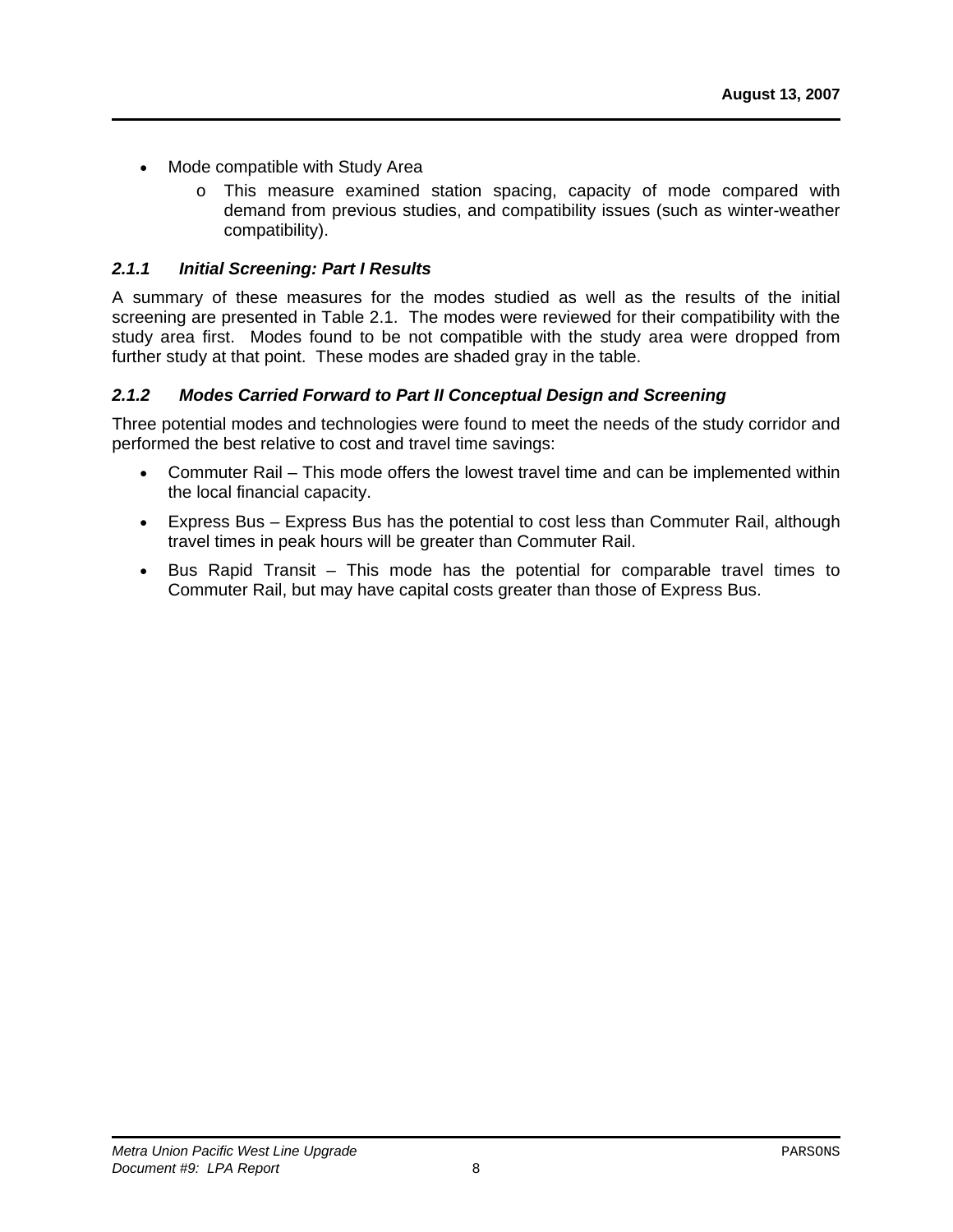- Mode compatible with Study Area
	- o This measure examined station spacing, capacity of mode compared with demand from previous studies, and compatibility issues (such as winter-weather compatibility).

#### *2.1.1 Initial Screening: Part I Results*

A summary of these measures for the modes studied as well as the results of the initial screening are presented in Table 2.1. The modes were reviewed for their compatibility with the study area first. Modes found to be not compatible with the study area were dropped from further study at that point. These modes are shaded gray in the table.

#### *2.1.2 Modes Carried Forward to Part II Conceptual Design and Screening*

Three potential modes and technologies were found to meet the needs of the study corridor and performed the best relative to cost and travel time savings:

- Commuter Rail This mode offers the lowest travel time and can be implemented within the local financial capacity.
- Express Bus Express Bus has the potential to cost less than Commuter Rail, although travel times in peak hours will be greater than Commuter Rail.
- Bus Rapid Transit This mode has the potential for comparable travel times to Commuter Rail, but may have capital costs greater than those of Express Bus.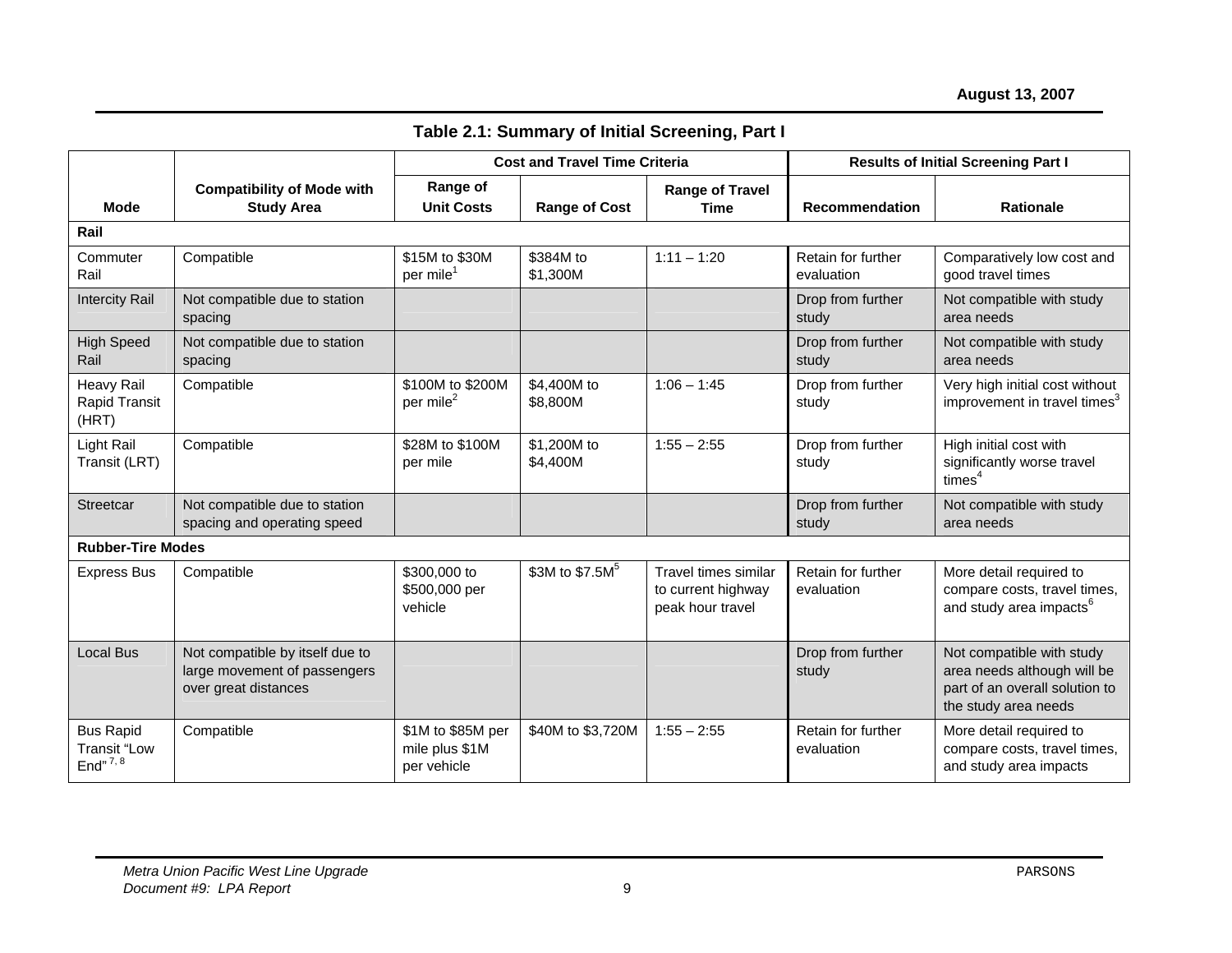|                                                        |                                                                                         |                                                    | <b>Cost and Travel Time Criteria</b> |                                                                |                                  | <b>Results of Initial Screening Part I</b>                                                                         |
|--------------------------------------------------------|-----------------------------------------------------------------------------------------|----------------------------------------------------|--------------------------------------|----------------------------------------------------------------|----------------------------------|--------------------------------------------------------------------------------------------------------------------|
| <b>Mode</b>                                            | <b>Compatibility of Mode with</b><br><b>Study Area</b>                                  | Range of<br><b>Unit Costs</b>                      | <b>Range of Cost</b>                 | <b>Range of Travel</b><br><b>Time</b>                          | <b>Recommendation</b>            | <b>Rationale</b>                                                                                                   |
| Rail                                                   |                                                                                         |                                                    |                                      |                                                                |                                  |                                                                                                                    |
| Commuter<br>Rail                                       | Compatible                                                                              | \$15M to \$30M<br>per mile <sup>1</sup>            | \$384M to<br>\$1,300M                | $1:11 - 1:20$                                                  | Retain for further<br>evaluation | Comparatively low cost and<br>good travel times                                                                    |
| <b>Intercity Rail</b>                                  | Not compatible due to station<br>spacing                                                |                                                    |                                      |                                                                | Drop from further<br>study       | Not compatible with study<br>area needs                                                                            |
| <b>High Speed</b><br>Rail                              | Not compatible due to station<br>spacing                                                |                                                    |                                      |                                                                | Drop from further<br>study       | Not compatible with study<br>area needs                                                                            |
| <b>Heavy Rail</b><br><b>Rapid Transit</b><br>(HRT)     | Compatible                                                                              | \$100M to \$200M<br>per mile <sup>2</sup>          | \$4,400M to<br>\$8,800M              | $1:06 - 1:45$                                                  | Drop from further<br>study       | Very high initial cost without<br>improvement in travel times <sup>3</sup>                                         |
| Light Rail<br>Transit (LRT)                            | Compatible                                                                              | \$28M to \$100M<br>per mile                        | \$1,200M to<br>\$4,400M              | $1:55 - 2:55$                                                  | Drop from further<br>study       | High initial cost with<br>significantly worse travel<br>time <sup>4</sup>                                          |
| Streetcar                                              | Not compatible due to station<br>spacing and operating speed                            |                                                    |                                      |                                                                | Drop from further<br>study       | Not compatible with study<br>area needs                                                                            |
| <b>Rubber-Tire Modes</b>                               |                                                                                         |                                                    |                                      |                                                                |                                  |                                                                                                                    |
| <b>Express Bus</b>                                     | Compatible                                                                              | \$300,000 to<br>\$500,000 per<br>vehicle           | \$3M to \$7.5M <sup>5</sup>          | Travel times similar<br>to current highway<br>peak hour travel | Retain for further<br>evaluation | More detail required to<br>compare costs, travel times,<br>and study area impacts <sup>6</sup>                     |
| Local Bus                                              | Not compatible by itself due to<br>large movement of passengers<br>over great distances |                                                    |                                      |                                                                | Drop from further<br>study       | Not compatible with study<br>area needs although will be<br>part of an overall solution to<br>the study area needs |
| <b>Bus Rapid</b><br><b>Transit "Low</b><br>End" $7, 8$ | Compatible                                                                              | \$1M to \$85M per<br>mile plus \$1M<br>per vehicle | \$40M to \$3,720M                    | $1:55 - 2:55$                                                  | Retain for further<br>evaluation | More detail required to<br>compare costs, travel times,<br>and study area impacts                                  |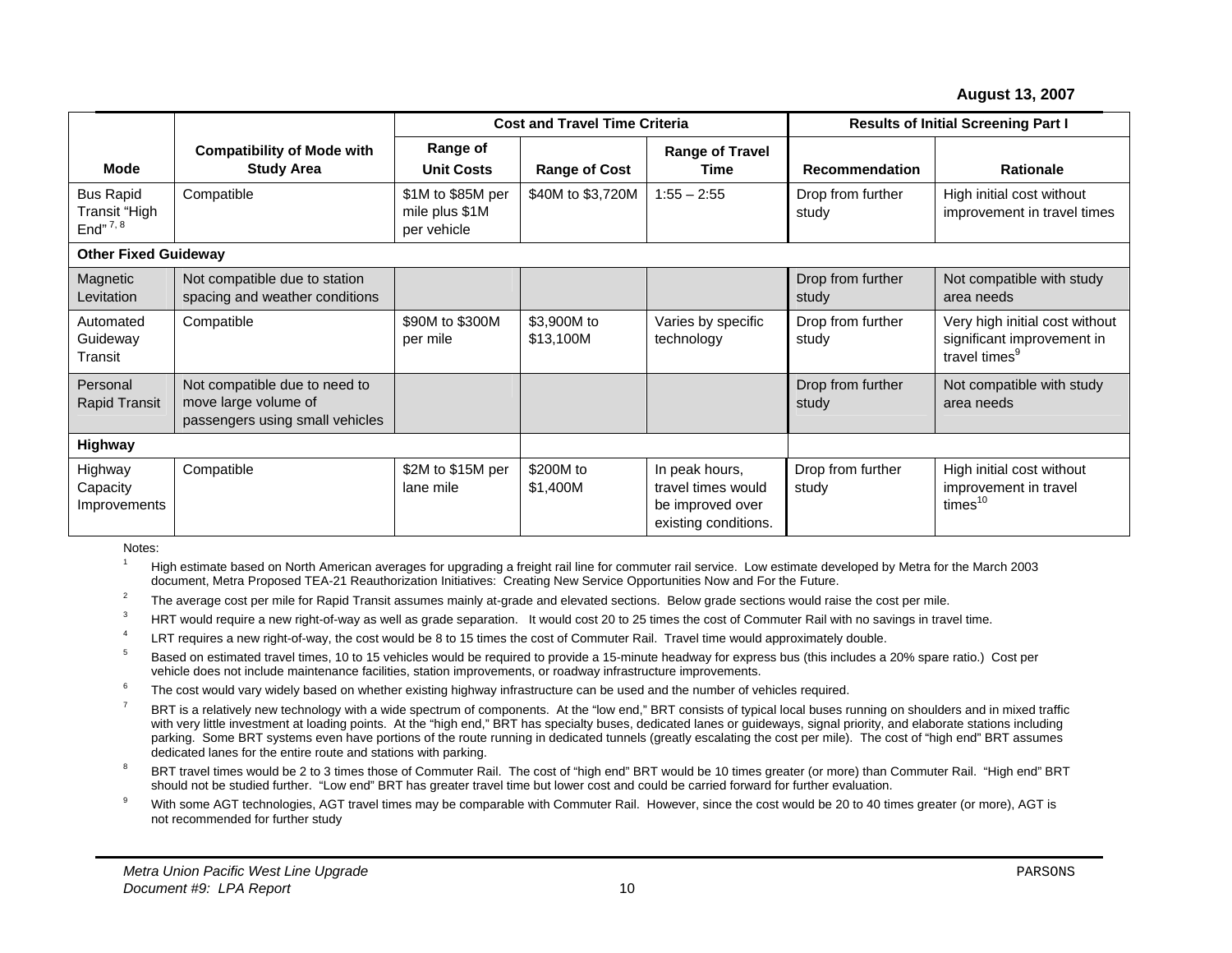|                                                     |                                                                                          |                                                    | <b>Cost and Travel Time Criteria</b> |                                                                                  |                            | <b>Results of Initial Screening Part I</b>                                                |
|-----------------------------------------------------|------------------------------------------------------------------------------------------|----------------------------------------------------|--------------------------------------|----------------------------------------------------------------------------------|----------------------------|-------------------------------------------------------------------------------------------|
| <b>Mode</b>                                         | <b>Compatibility of Mode with</b><br><b>Study Area</b>                                   | Range of<br><b>Unit Costs</b>                      | <b>Range of Cost</b>                 | <b>Range of Travel</b><br>Time                                                   | Recommendation             | <b>Rationale</b>                                                                          |
| <b>Bus Rapid</b><br>Transit "High<br>End" $^{7, 8}$ | Compatible                                                                               | \$1M to \$85M per<br>mile plus \$1M<br>per vehicle | \$40M to \$3,720M                    | $1:55 - 2:55$                                                                    | Drop from further<br>study | High initial cost without<br>improvement in travel times                                  |
| <b>Other Fixed Guideway</b>                         |                                                                                          |                                                    |                                      |                                                                                  |                            |                                                                                           |
| Magnetic<br>Levitation                              | Not compatible due to station<br>spacing and weather conditions                          |                                                    |                                      |                                                                                  | Drop from further<br>study | Not compatible with study<br>area needs                                                   |
| Automated<br>Guideway<br>Transit                    | Compatible                                                                               | \$90M to \$300M<br>per mile                        | \$3,900M to<br>\$13,100M             | Varies by specific<br>technology                                                 | Drop from further<br>study | Very high initial cost without<br>significant improvement in<br>travel times <sup>9</sup> |
| Personal<br><b>Rapid Transit</b>                    | Not compatible due to need to<br>move large volume of<br>passengers using small vehicles |                                                    |                                      |                                                                                  | Drop from further<br>study | Not compatible with study<br>area needs                                                   |
| Highway                                             |                                                                                          |                                                    |                                      |                                                                                  |                            |                                                                                           |
| Highway<br>Capacity<br>Improvements                 | Compatible                                                                               | \$2M to \$15M per<br>lane mile                     | \$200M to<br>\$1,400M                | In peak hours,<br>travel times would<br>be improved over<br>existing conditions. | Drop from further<br>study | High initial cost without<br>improvement in travel<br>times <sup>10</sup>                 |

Notes:

1 High estimate based on North American averages for upgrading a freight rail line for commuter rail service. Low estimate developed by Metra for the March 2003 document, Metra Proposed TEA-21 Reauthorization Initiatives: Creating New Service Opportunities Now and For the Future.

- <sup>2</sup> The average cost per mile for Rapid Transit assumes mainly at-grade and elevated sections. Below grade sections would raise the cost per mile.
- <sup>3</sup> HRT would require a new right-of-way as well as grade separation. It would cost 20 to 25 times the cost of Commuter Rail with no savings in travel time.
- LRT requires a new right-of-way, the cost would be 8 to 15 times the cost of Commuter Rail. Travel time would approximately double.
- <sup>5</sup> Based on estimated travel times, 10 to 15 vehicles would be required to provide a 15-minute headway for express bus (this includes a 20% spare ratio.) Cost per vehicle does not include maintenance facilities, station improvements, or roadway infrastructure improvements.
- <sup>6</sup> The cost would vary widely based on whether existing highway infrastructure can be used and the number of vehicles required.
- <sup>7</sup> BRT is a relatively new technology with a wide spectrum of components. At the "low end," BRT consists of typical local buses running on shoulders and in mixed traffic with very little investment at loading points. At the "high end," BRT has specialty buses, dedicated lanes or guideways, signal priority, and elaborate stations including parking. Some BRT systems even have portions of the route running in dedicated tunnels (greatly escalating the cost per mile). The cost of "high end" BRT assumes dedicated lanes for the entire route and stations with parking.
- <sup>8</sup> BRT travel times would be 2 to 3 times those of Commuter Rail. The cost of "high end" BRT would be 10 times greater (or more) than Commuter Rail. "High end" BRT should not be studied further. "Low end" BRT has greater travel time but lower cost and could be carried forward for further evaluation.
- <sup>9</sup> With some AGT technologies, AGT travel times may be comparable with Commuter Rail. However, since the cost would be 20 to 40 times greater (or more), AGT is not recommended for further study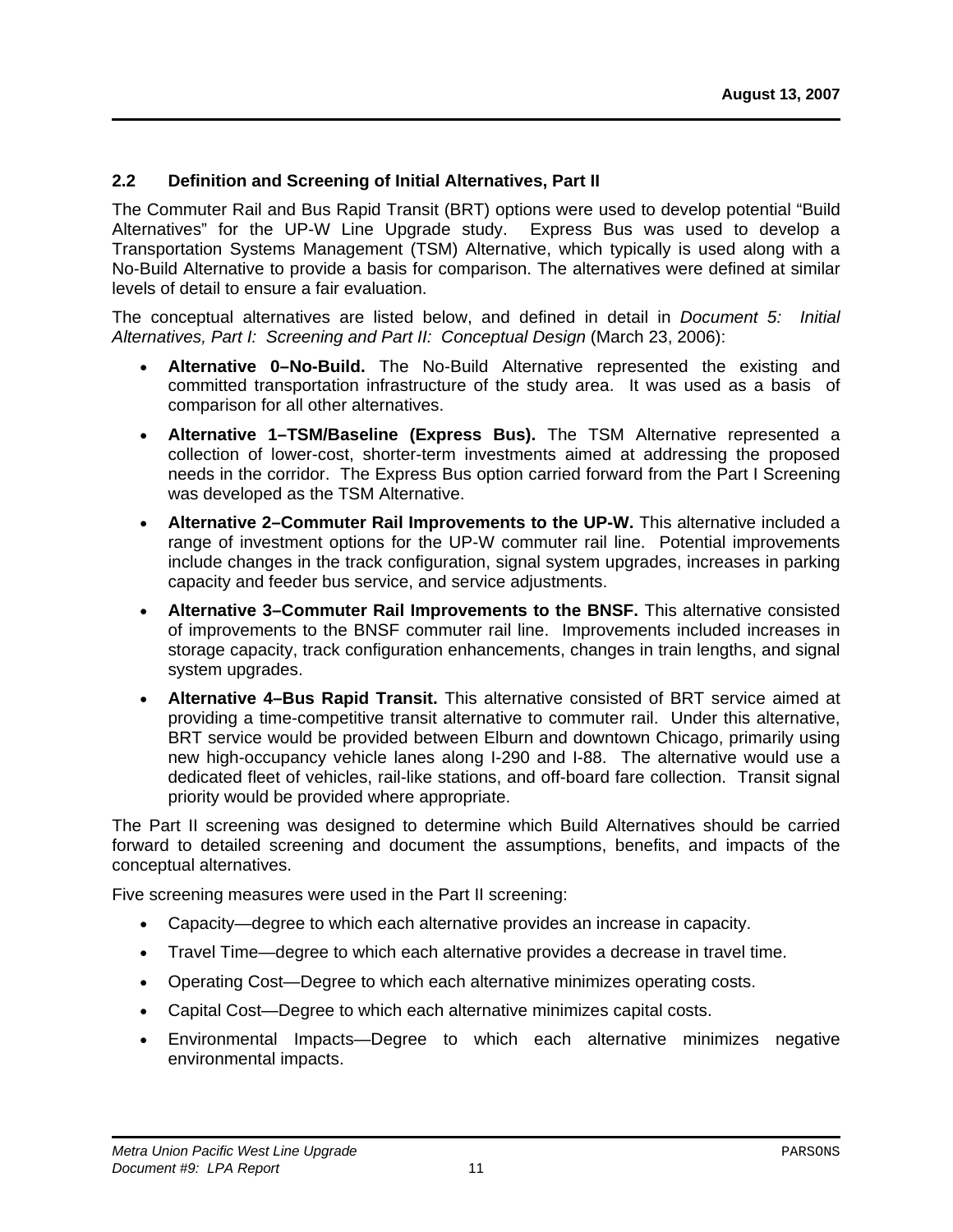#### **2.2 Definition and Screening of Initial Alternatives, Part II**

The Commuter Rail and Bus Rapid Transit (BRT) options were used to develop potential "Build Alternatives" for the UP-W Line Upgrade study. Express Bus was used to develop a Transportation Systems Management (TSM) Alternative, which typically is used along with a No-Build Alternative to provide a basis for comparison. The alternatives were defined at similar levels of detail to ensure a fair evaluation.

The conceptual alternatives are listed below, and defined in detail in *Document 5: Initial Alternatives, Part I: Screening and Part II: Conceptual Design* (March 23, 2006):

- **Alternative 0–No-Build.** The No-Build Alternative represented the existing and committed transportation infrastructure of the study area. It was used as a basis of comparison for all other alternatives.
- **Alternative 1–TSM/Baseline (Express Bus).** The TSM Alternative represented a collection of lower-cost, shorter-term investments aimed at addressing the proposed needs in the corridor. The Express Bus option carried forward from the Part I Screening was developed as the TSM Alternative.
- **Alternative 2–Commuter Rail Improvements to the UP-W.** This alternative included a range of investment options for the UP-W commuter rail line. Potential improvements include changes in the track configuration, signal system upgrades, increases in parking capacity and feeder bus service, and service adjustments.
- **Alternative 3–Commuter Rail Improvements to the BNSF.** This alternative consisted of improvements to the BNSF commuter rail line. Improvements included increases in storage capacity, track configuration enhancements, changes in train lengths, and signal system upgrades.
- **Alternative 4–Bus Rapid Transit.** This alternative consisted of BRT service aimed at providing a time-competitive transit alternative to commuter rail. Under this alternative, BRT service would be provided between Elburn and downtown Chicago, primarily using new high-occupancy vehicle lanes along I-290 and I-88. The alternative would use a dedicated fleet of vehicles, rail-like stations, and off-board fare collection. Transit signal priority would be provided where appropriate.

The Part II screening was designed to determine which Build Alternatives should be carried forward to detailed screening and document the assumptions, benefits, and impacts of the conceptual alternatives.

Five screening measures were used in the Part II screening:

- Capacity—degree to which each alternative provides an increase in capacity.
- Travel Time—degree to which each alternative provides a decrease in travel time.
- Operating Cost—Degree to which each alternative minimizes operating costs.
- Capital Cost—Degree to which each alternative minimizes capital costs.
- Environmental Impacts—Degree to which each alternative minimizes negative environmental impacts.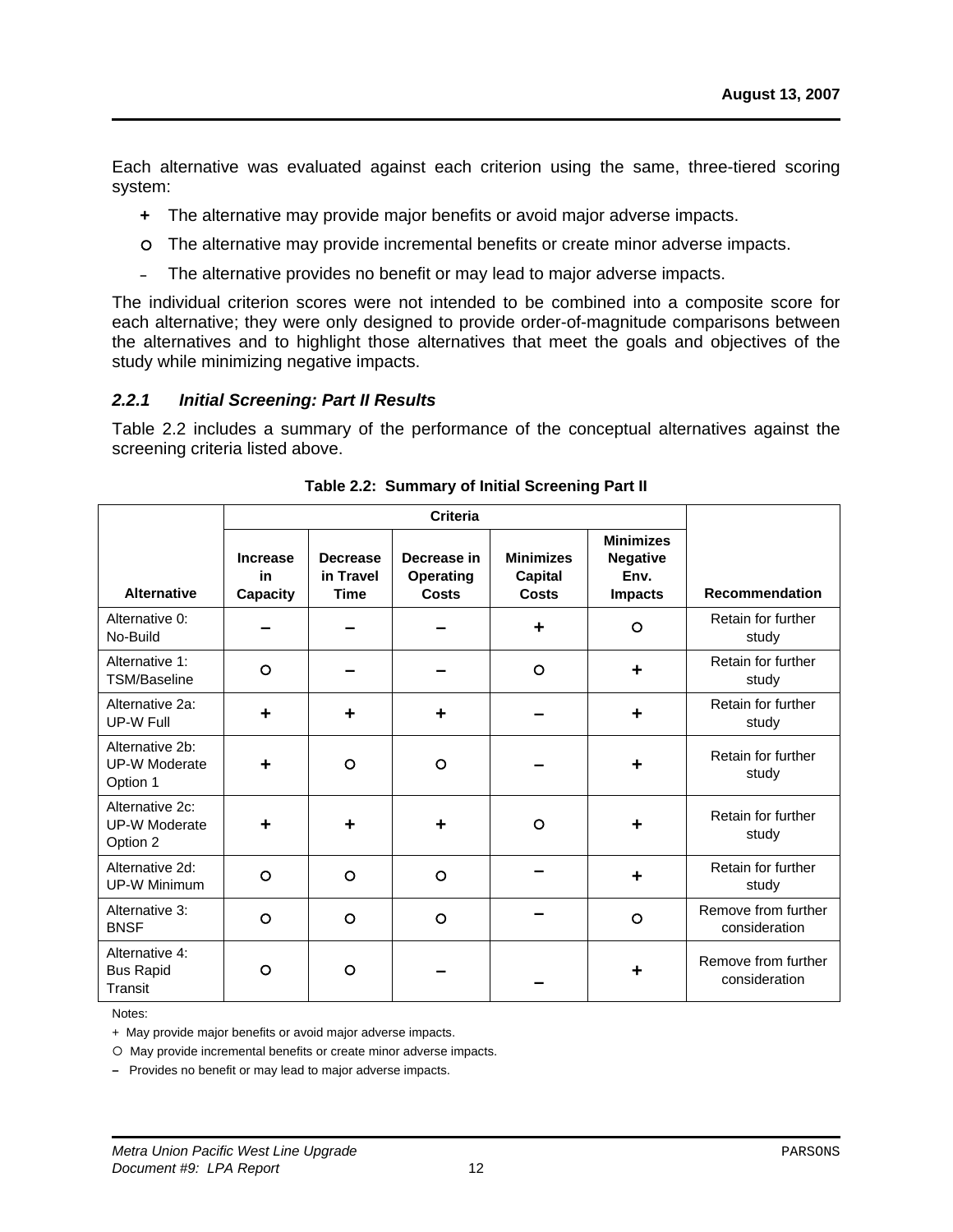Each alternative was evaluated against each criterion using the same, three-tiered scoring system:

- **+** The alternative may provide major benefits or avoid major adverse impacts.
- { The alternative may provide incremental benefits or create minor adverse impacts.
- **–** The alternative provides no benefit or may lead to major adverse impacts.

The individual criterion scores were not intended to be combined into a composite score for each alternative; they were only designed to provide order-of-magnitude comparisons between the alternatives and to highlight those alternatives that meet the goals and objectives of the study while minimizing negative impacts.

#### *2.2.1 Initial Screening: Part II Results*

Table 2.2 includes a summary of the performance of the conceptual alternatives against the screening criteria listed above.

| <b>Alternative</b>                                  | <b>Increase</b><br>in<br>Capacity | <b>Decrease</b><br>in Travel<br><b>Time</b> | Decrease in<br><b>Operating</b><br>Costs | <b>Minimizes</b><br><b>Capital</b><br>Costs | <b>Minimizes</b><br><b>Negative</b><br>Env.<br><b>Impacts</b> | <b>Recommendation</b>                |
|-----------------------------------------------------|-----------------------------------|---------------------------------------------|------------------------------------------|---------------------------------------------|---------------------------------------------------------------|--------------------------------------|
| Alternative 0:<br>No-Build                          |                                   |                                             |                                          | ٠                                           | O                                                             | Retain for further<br>study          |
| Alternative 1:<br>TSM/Baseline                      | $\circ$                           |                                             |                                          | $\circ$                                     | ٠                                                             | Retain for further<br>study          |
| Alternative 2a:<br><b>UP-W Full</b>                 | ٠                                 | +                                           | ٠                                        |                                             | ٠                                                             | Retain for further<br>study          |
| Alternative 2b:<br><b>UP-W Moderate</b><br>Option 1 | ٠                                 | $\circ$                                     | $\circ$                                  |                                             | ٠                                                             | Retain for further<br>study          |
| Alternative 2c:<br><b>UP-W Moderate</b><br>Option 2 | ÷                                 | ÷                                           | ٠                                        | $\circ$                                     | ٠                                                             | Retain for further<br>study          |
| Alternative 2d:<br><b>UP-W Minimum</b>              | $\circ$                           | O                                           | $\circ$                                  |                                             |                                                               | Retain for further<br>study          |
| Alternative 3:<br><b>BNSF</b>                       | $\circ$                           | $\circ$                                     | $\circ$                                  |                                             | $\circ$                                                       | Remove from further<br>consideration |
| Alternative 4:<br><b>Bus Rapid</b><br>Transit       | O                                 | O                                           |                                          |                                             | ┿                                                             | Remove from further<br>consideration |

**Table 2.2: Summary of Initial Screening Part II** 

Notes:

+ May provide major benefits or avoid major adverse impacts.

{ May provide incremental benefits or create minor adverse impacts.

**–** Provides no benefit or may lead to major adverse impacts.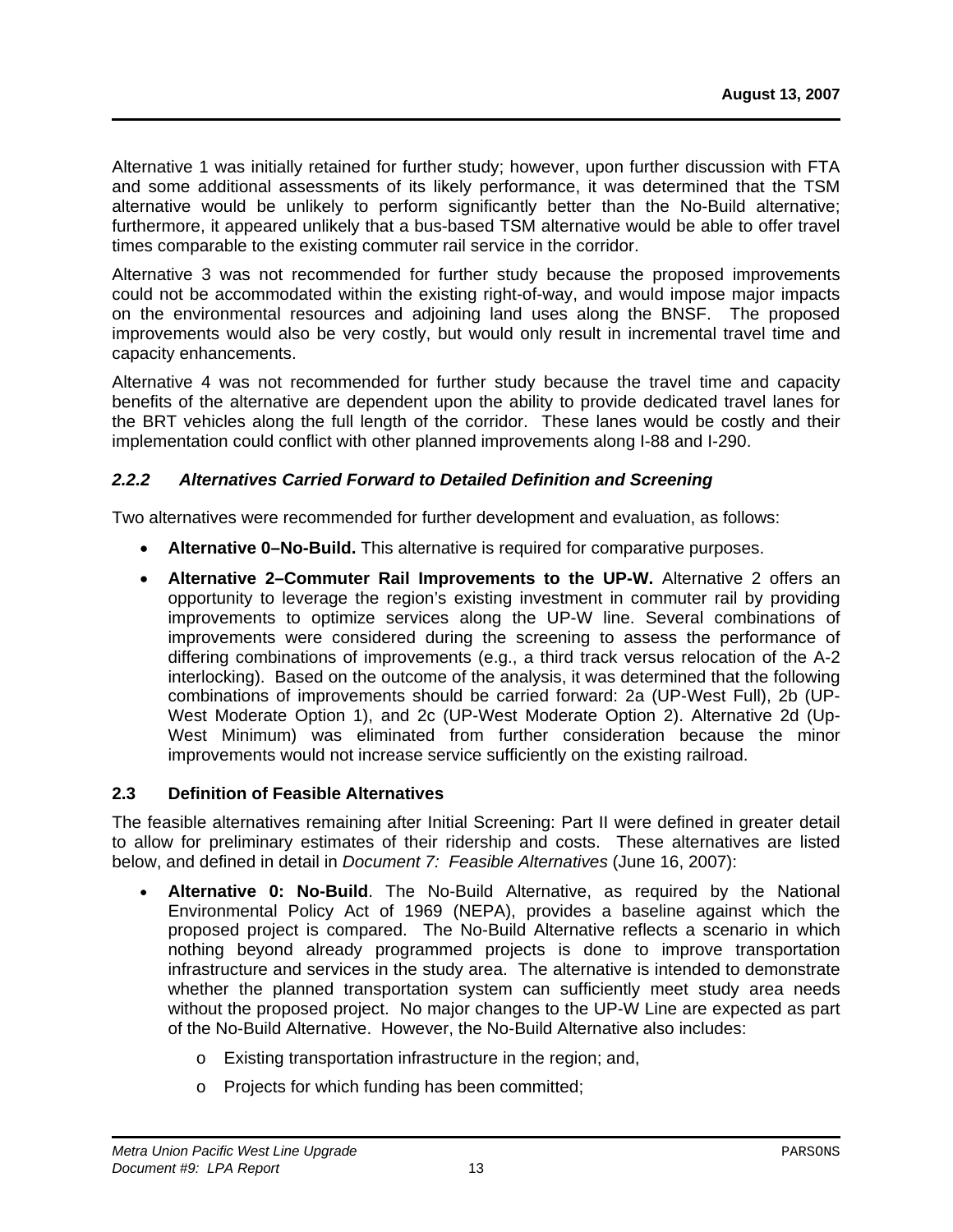Alternative 1 was initially retained for further study; however, upon further discussion with FTA and some additional assessments of its likely performance, it was determined that the TSM alternative would be unlikely to perform significantly better than the No-Build alternative; furthermore, it appeared unlikely that a bus-based TSM alternative would be able to offer travel times comparable to the existing commuter rail service in the corridor.

Alternative 3 was not recommended for further study because the proposed improvements could not be accommodated within the existing right-of-way, and would impose major impacts on the environmental resources and adjoining land uses along the BNSF. The proposed improvements would also be very costly, but would only result in incremental travel time and capacity enhancements.

Alternative 4 was not recommended for further study because the travel time and capacity benefits of the alternative are dependent upon the ability to provide dedicated travel lanes for the BRT vehicles along the full length of the corridor. These lanes would be costly and their implementation could conflict with other planned improvements along I-88 and I-290.

#### *2.2.2 Alternatives Carried Forward to Detailed Definition and Screening*

Two alternatives were recommended for further development and evaluation, as follows:

- **Alternative 0–No-Build.** This alternative is required for comparative purposes.
- **Alternative 2–Commuter Rail Improvements to the UP-W.** Alternative 2 offers an opportunity to leverage the region's existing investment in commuter rail by providing improvements to optimize services along the UP-W line. Several combinations of improvements were considered during the screening to assess the performance of differing combinations of improvements (e.g., a third track versus relocation of the A-2 interlocking). Based on the outcome of the analysis, it was determined that the following combinations of improvements should be carried forward: 2a (UP-West Full), 2b (UP-West Moderate Option 1), and 2c (UP-West Moderate Option 2). Alternative 2d (Up-West Minimum) was eliminated from further consideration because the minor improvements would not increase service sufficiently on the existing railroad.

#### **2.3 Definition of Feasible Alternatives**

The feasible alternatives remaining after Initial Screening: Part II were defined in greater detail to allow for preliminary estimates of their ridership and costs. These alternatives are listed below, and defined in detail in *Document 7: Feasible Alternatives* (June 16, 2007):

- **Alternative 0: No-Build**. The No-Build Alternative, as required by the National Environmental Policy Act of 1969 (NEPA), provides a baseline against which the proposed project is compared. The No-Build Alternative reflects a scenario in which nothing beyond already programmed projects is done to improve transportation infrastructure and services in the study area. The alternative is intended to demonstrate whether the planned transportation system can sufficiently meet study area needs without the proposed project. No major changes to the UP-W Line are expected as part of the No-Build Alternative. However, the No-Build Alternative also includes:
	- o Existing transportation infrastructure in the region; and,
	- o Projects for which funding has been committed;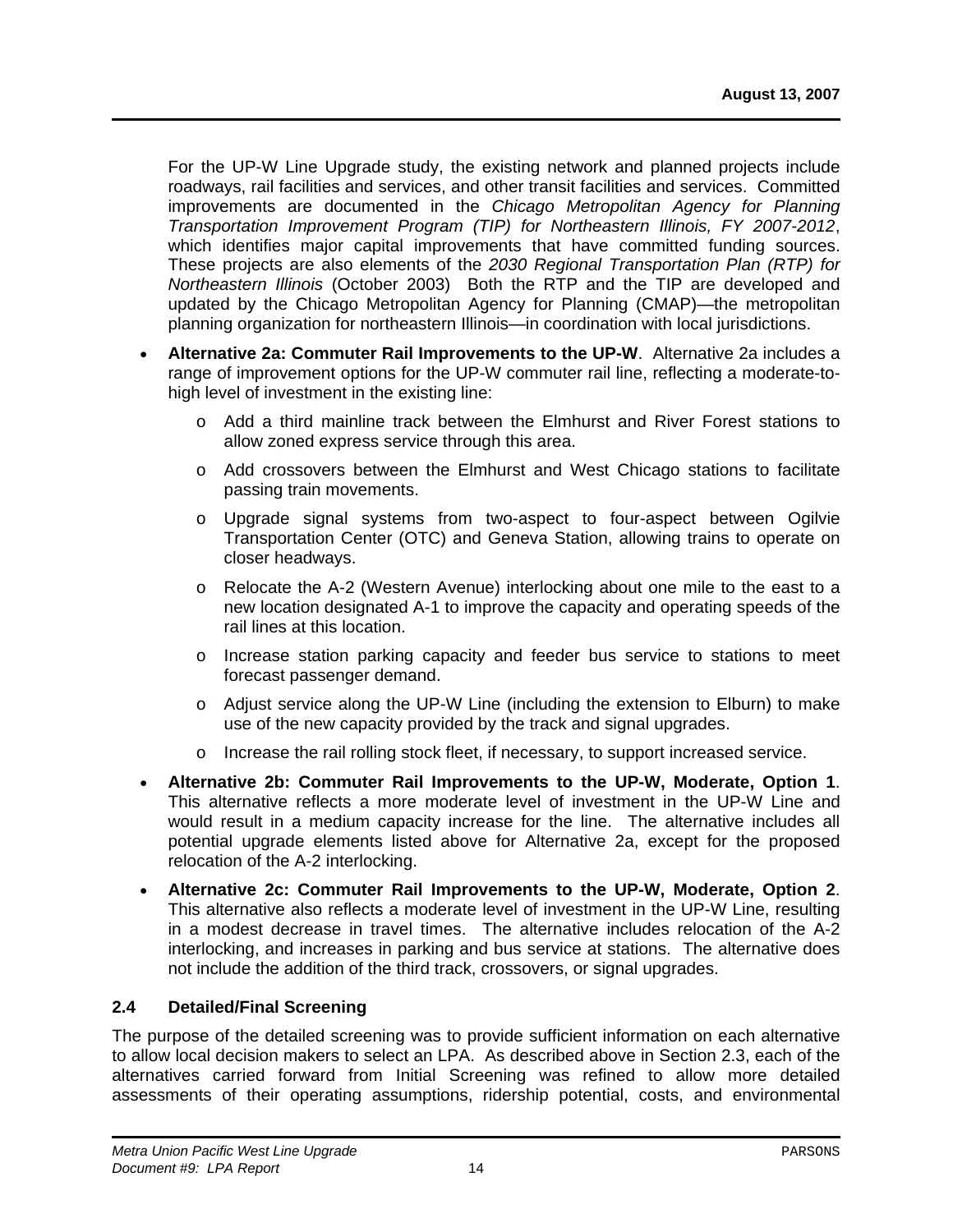For the UP-W Line Upgrade study, the existing network and planned projects include roadways, rail facilities and services, and other transit facilities and services. Committed improvements are documented in the *Chicago Metropolitan Agency for Planning Transportation Improvement Program (TIP) for Northeastern Illinois, FY 2007-2012*, which identifies major capital improvements that have committed funding sources. These projects are also elements of the *2030 Regional Transportation Plan (RTP) for Northeastern Illinois* (October 2003) Both the RTP and the TIP are developed and updated by the Chicago Metropolitan Agency for Planning (CMAP)—the metropolitan planning organization for northeastern Illinois—in coordination with local jurisdictions.

- **Alternative 2a: Commuter Rail Improvements to the UP-W**. Alternative 2a includes a range of improvement options for the UP-W commuter rail line, reflecting a moderate-tohigh level of investment in the existing line:
	- o Add a third mainline track between the Elmhurst and River Forest stations to allow zoned express service through this area.
	- o Add crossovers between the Elmhurst and West Chicago stations to facilitate passing train movements.
	- o Upgrade signal systems from two-aspect to four-aspect between Ogilvie Transportation Center (OTC) and Geneva Station, allowing trains to operate on closer headways.
	- o Relocate the A-2 (Western Avenue) interlocking about one mile to the east to a new location designated A-1 to improve the capacity and operating speeds of the rail lines at this location.
	- o Increase station parking capacity and feeder bus service to stations to meet forecast passenger demand.
	- $\circ$  Adjust service along the UP-W Line (including the extension to Elburn) to make use of the new capacity provided by the track and signal upgrades.
	- o Increase the rail rolling stock fleet, if necessary, to support increased service.
- **Alternative 2b: Commuter Rail Improvements to the UP-W, Moderate, Option 1**. This alternative reflects a more moderate level of investment in the UP-W Line and would result in a medium capacity increase for the line. The alternative includes all potential upgrade elements listed above for Alternative 2a, except for the proposed relocation of the A-2 interlocking.
- **Alternative 2c: Commuter Rail Improvements to the UP-W, Moderate, Option 2**. This alternative also reflects a moderate level of investment in the UP-W Line, resulting in a modest decrease in travel times. The alternative includes relocation of the A-2 interlocking, and increases in parking and bus service at stations. The alternative does not include the addition of the third track, crossovers, or signal upgrades.

#### **2.4 Detailed/Final Screening**

The purpose of the detailed screening was to provide sufficient information on each alternative to allow local decision makers to select an LPA. As described above in Section 2.3, each of the alternatives carried forward from Initial Screening was refined to allow more detailed assessments of their operating assumptions, ridership potential, costs, and environmental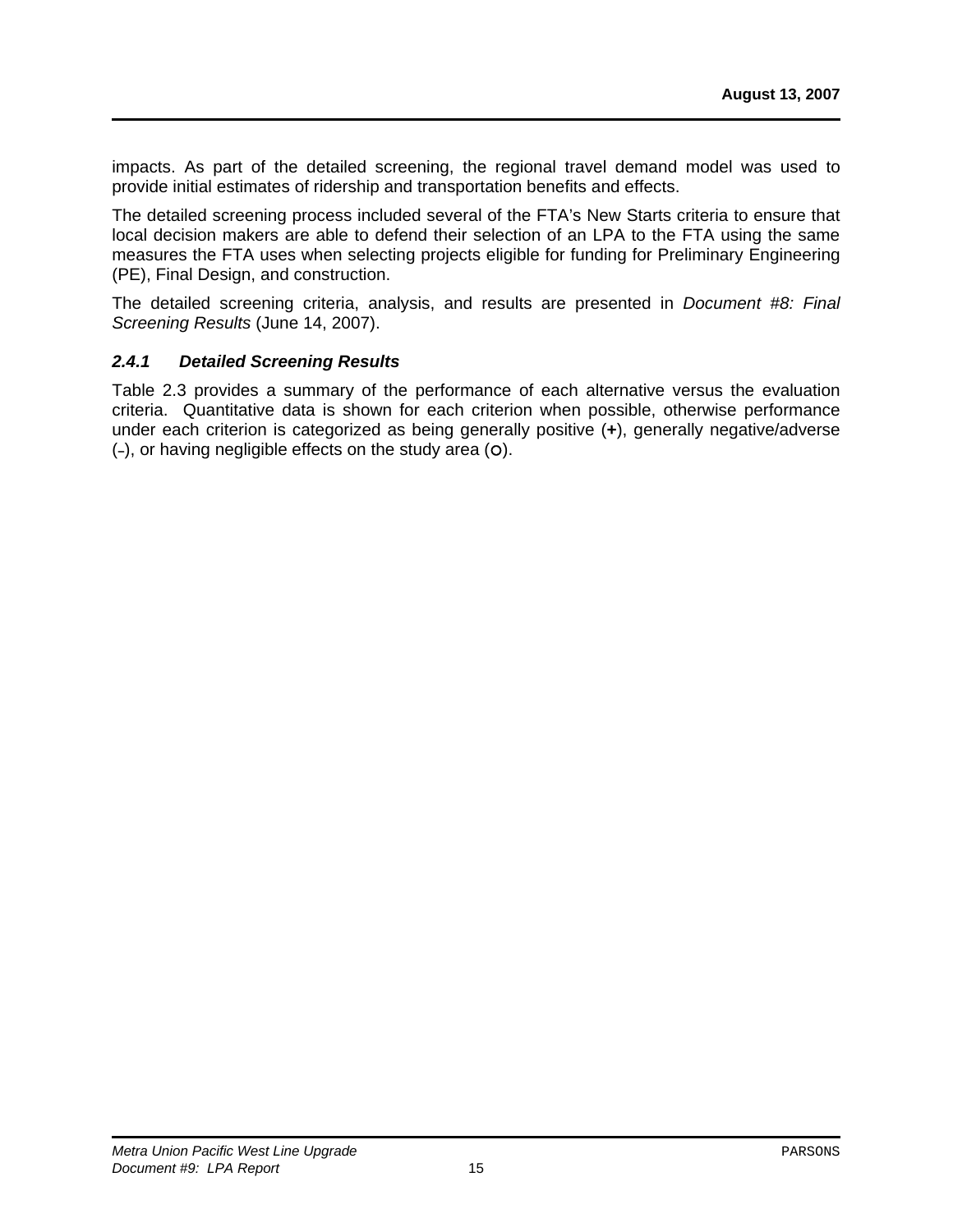impacts. As part of the detailed screening, the regional travel demand model was used to provide initial estimates of ridership and transportation benefits and effects.

The detailed screening process included several of the FTA's New Starts criteria to ensure that local decision makers are able to defend their selection of an LPA to the FTA using the same measures the FTA uses when selecting projects eligible for funding for Preliminary Engineering (PE), Final Design, and construction.

The detailed screening criteria, analysis, and results are presented in *Document #8: Final Screening Results* (June 14, 2007).

#### *2.4.1 Detailed Screening Results*

Table 2.3 provides a summary of the performance of each alternative versus the evaluation criteria. Quantitative data is shown for each criterion when possible, otherwise performance under each criterion is categorized as being generally positive (**+**), generally negative/adverse (-), or having negligible effects on the study area (O).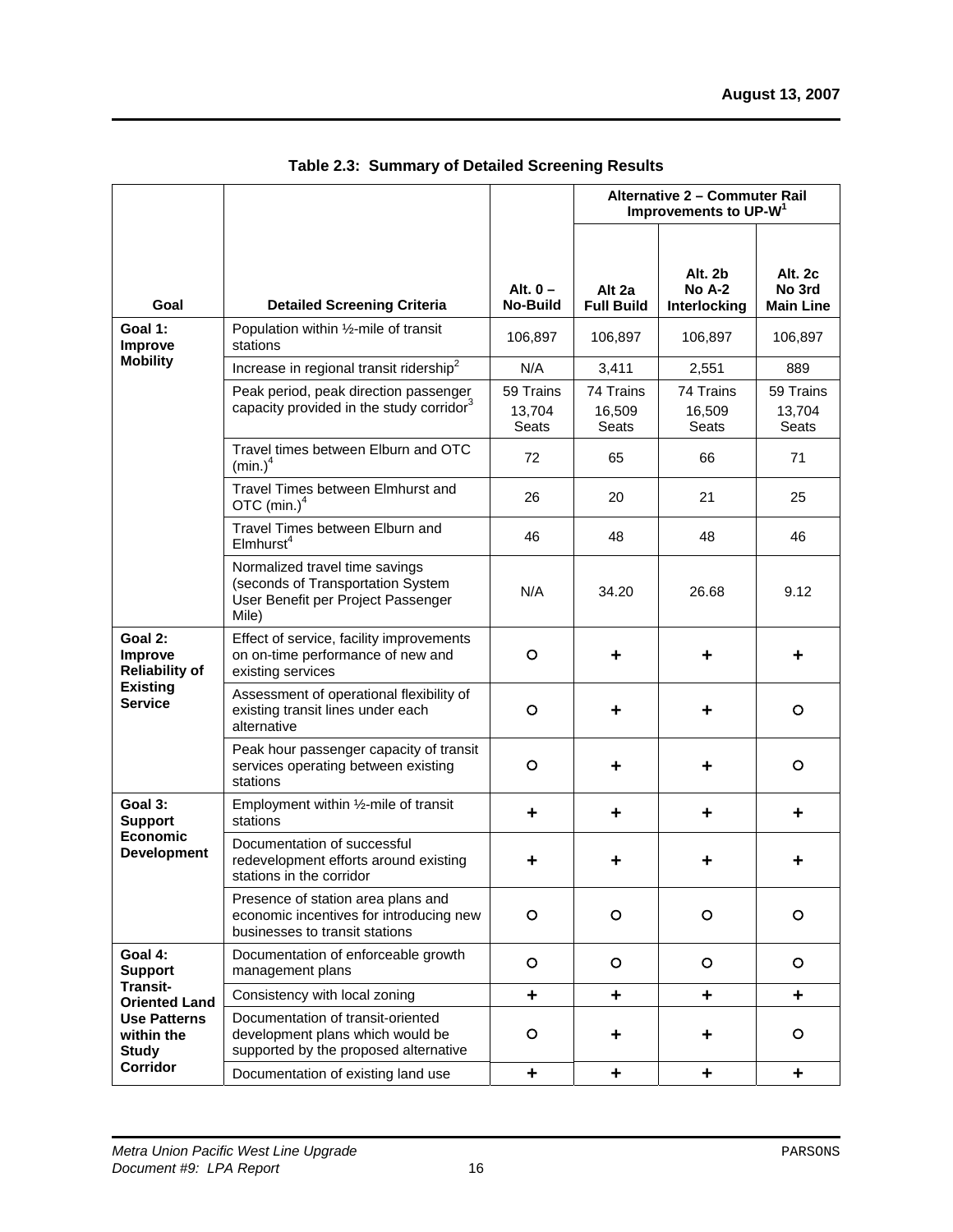|                                                   |                                                                                                                    |                                     | Alternative 2 - Commuter Rail<br>Improvements to UP-W <sup>1</sup> |                                          |                                       |
|---------------------------------------------------|--------------------------------------------------------------------------------------------------------------------|-------------------------------------|--------------------------------------------------------------------|------------------------------------------|---------------------------------------|
| Goal                                              | <b>Detailed Screening Criteria</b>                                                                                 | Alt. $0 -$<br>No-Build              | Alt 2a<br><b>Full Build</b>                                        | Alt. 2b<br><b>No A-2</b><br>Interlocking | Alt. 2c<br>No 3rd<br><b>Main Line</b> |
| Goal 1:<br><b>Improve</b>                         | Population within 1/2-mile of transit<br>stations                                                                  | 106,897                             | 106,897                                                            | 106,897                                  | 106,897                               |
| <b>Mobility</b>                                   | Increase in regional transit ridership <sup>2</sup>                                                                | N/A                                 | 3,411                                                              | 2,551                                    | 889                                   |
|                                                   | Peak period, peak direction passenger<br>capacity provided in the study corridor <sup>3</sup>                      | 59 Trains<br>13,704<br><b>Seats</b> | 74 Trains<br>16,509<br>Seats                                       | 74 Trains<br>16,509<br>Seats             | 59 Trains<br>13,704<br>Seats          |
|                                                   | Travel times between Elburn and OTC<br>(min.) <sup>4</sup>                                                         | 72                                  | 65                                                                 | 66                                       | 71                                    |
|                                                   | Travel Times between Elmhurst and<br>OTC $(min.)4$                                                                 | 26                                  | 20                                                                 | 21                                       | 25                                    |
|                                                   | Travel Times between Elburn and<br>$E$ Imhurst <sup>4</sup>                                                        |                                     |                                                                    | 48                                       | 46                                    |
|                                                   | Normalized travel time savings<br>(seconds of Transportation System<br>User Benefit per Project Passenger<br>Mile) | N/A                                 | 34.20                                                              | 26.68                                    | 9.12                                  |
| Goal 2:<br>Improve<br><b>Reliability of</b>       | Effect of service, facility improvements<br>on on-time performance of new and<br>existing services                 | $\circ$                             | ٠                                                                  |                                          |                                       |
| <b>Existing</b><br><b>Service</b>                 | Assessment of operational flexibility of<br>existing transit lines under each<br>alternative                       | $\circ$                             |                                                                    |                                          | O                                     |
|                                                   | Peak hour passenger capacity of transit<br>services operating between existing<br>stations                         | $\circ$                             |                                                                    |                                          | $\circ$                               |
| Goal 3:<br><b>Support</b>                         | Employment within 1/2-mile of transit<br>stations                                                                  | ٠                                   | ٠                                                                  | ٠                                        | ٠                                     |
| <b>Economic</b><br><b>Development</b>             | Documentation of successful<br>redevelopment efforts around existing<br>stations in the corridor                   |                                     |                                                                    |                                          |                                       |
|                                                   | Presence of station area plans and<br>economic incentives for introducing new<br>businesses to transit stations    | $\circ$                             | O                                                                  | O                                        | O                                     |
| Goal 4:<br><b>Support</b>                         | Documentation of enforceable growth<br>management plans                                                            | $\circ$                             | O                                                                  | $\circ$                                  | $\circ$                               |
| <b>Transit-</b><br><b>Oriented Land</b>           | Consistency with local zoning                                                                                      | ÷                                   | ÷                                                                  | $\ddot{\phantom{1}}$                     | ٠                                     |
| <b>Use Patterns</b><br>within the<br><b>Study</b> | Documentation of transit-oriented<br>development plans which would be<br>supported by the proposed alternative     | $\circ$                             | ٠                                                                  |                                          | O                                     |
| <b>Corridor</b>                                   | Documentation of existing land use                                                                                 | ٠                                   | $\ddot{\phantom{1}}$                                               | $\ddot{\phantom{1}}$                     | ٠                                     |

**Table 2.3: Summary of Detailed Screening Results**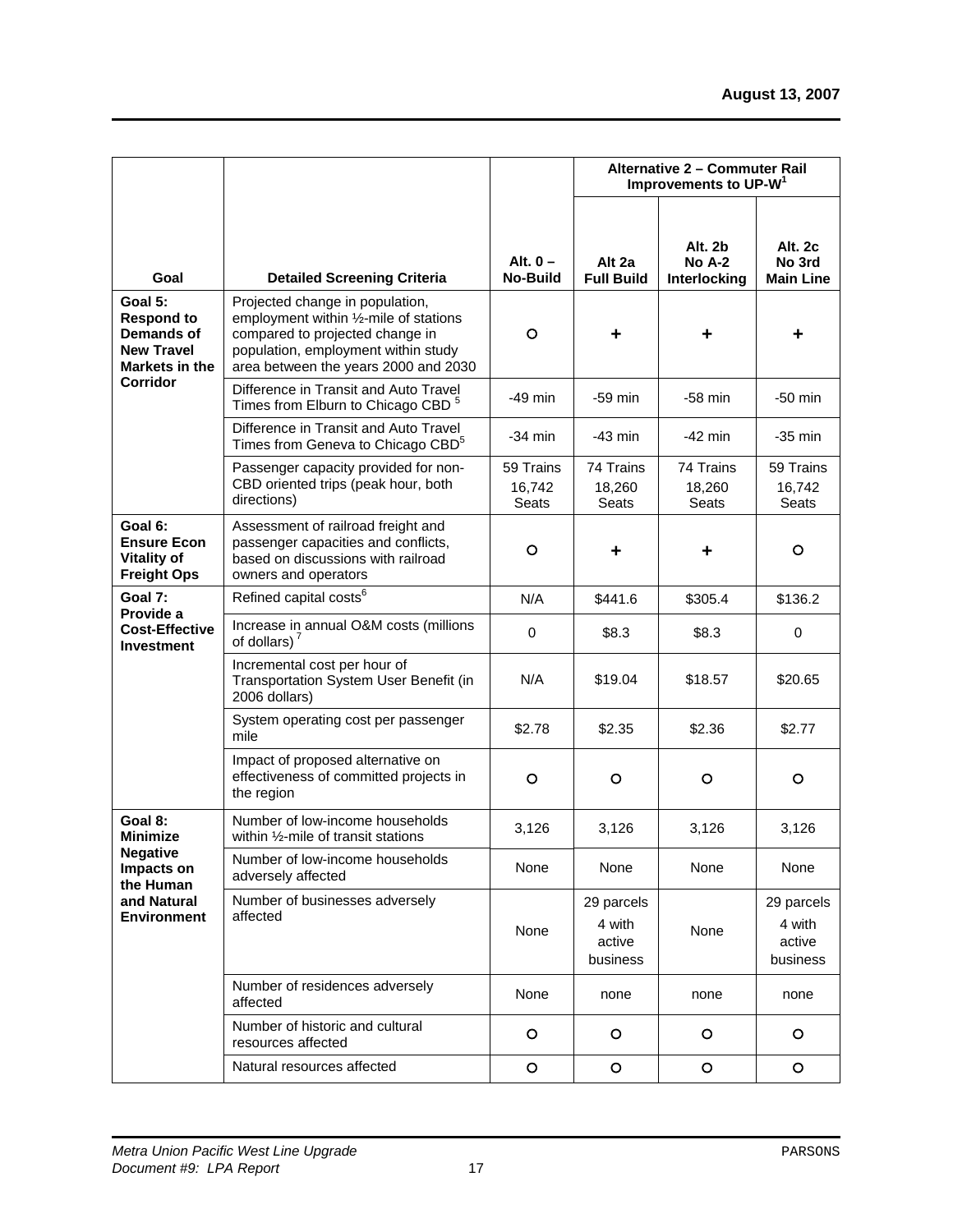|                                                                                                 |                                                                                                                                                                                             |                              | Alternative 2 - Commuter Rail<br>Improvements to UP-W <sup>1</sup> |                              |                                            |
|-------------------------------------------------------------------------------------------------|---------------------------------------------------------------------------------------------------------------------------------------------------------------------------------------------|------------------------------|--------------------------------------------------------------------|------------------------------|--------------------------------------------|
|                                                                                                 |                                                                                                                                                                                             | Alt. $0 -$                   | Alt 2a                                                             | Alt. 2b<br><b>No A-2</b>     | Alt. 2c<br>No 3rd                          |
| Goal                                                                                            | <b>Detailed Screening Criteria</b>                                                                                                                                                          | <b>No-Build</b>              | <b>Full Build</b>                                                  | Interlocking                 | <b>Main Line</b>                           |
| Goal 5:<br><b>Respond to</b><br><b>Demands of</b><br><b>New Travel</b><br><b>Markets in the</b> | Projected change in population,<br>employment within 1/2-mile of stations<br>compared to projected change in<br>population, employment within study<br>area between the years 2000 and 2030 | $\circ$                      | ٠                                                                  |                              | ÷                                          |
| Corridor                                                                                        | Difference in Transit and Auto Travel<br>Times from Elburn to Chicago CBD <sup>5</sup>                                                                                                      | $-49$ min                    | $-59$ min                                                          | -58 min                      | -50 min                                    |
|                                                                                                 | Difference in Transit and Auto Travel<br>Times from Geneva to Chicago CBD <sup>5</sup>                                                                                                      | -34 min                      | -43 min                                                            | -42 min                      | -35 min                                    |
|                                                                                                 | Passenger capacity provided for non-<br>CBD oriented trips (peak hour, both<br>directions)                                                                                                  | 59 Trains<br>16,742<br>Seats | 74 Trains<br>18,260<br>Seats                                       | 74 Trains<br>18,260<br>Seats | 59 Trains<br>16,742<br>Seats               |
| Goal 6:<br><b>Ensure Econ</b><br><b>Vitality of</b><br><b>Freight Ops</b>                       | Assessment of railroad freight and<br>passenger capacities and conflicts,<br>based on discussions with railroad<br>owners and operators                                                     | O                            | ٠                                                                  | ٠                            | $\circ$                                    |
| Goal 7:                                                                                         | Refined capital costs <sup>6</sup>                                                                                                                                                          | N/A                          | \$441.6                                                            | \$305.4                      | \$136.2                                    |
| Provide a<br><b>Cost-Effective</b><br><b>Investment</b>                                         | Increase in annual O&M costs (millions<br>of dollars) $7$                                                                                                                                   | $\mathbf 0$                  | \$8.3                                                              | \$8.3                        | 0                                          |
|                                                                                                 | Incremental cost per hour of<br>Transportation System User Benefit (in<br>2006 dollars)                                                                                                     | N/A                          | \$19.04                                                            | \$18.57                      | \$20.65                                    |
|                                                                                                 | System operating cost per passenger<br>mile                                                                                                                                                 | \$2.78                       | \$2.35                                                             | \$2.36                       | \$2.77                                     |
|                                                                                                 | Impact of proposed alternative on<br>effectiveness of committed projects in<br>the region                                                                                                   | $\circ$                      | $\circ$                                                            | $\circ$                      | $\circ$                                    |
| Goal 8:<br><b>Minimize</b>                                                                      | Number of low-income households<br>within 1/ <sub>2</sub> -mile of transit stations                                                                                                         | 3,126                        | 3,126                                                              | 3,126                        | 3,126                                      |
| <b>Negative</b><br>Impacts on<br>the Human                                                      | Number of low-income households<br>adversely affected                                                                                                                                       | None                         | None                                                               | None                         | None                                       |
| and Natural<br><b>Environment</b>                                                               | Number of businesses adversely<br>affected                                                                                                                                                  | None                         | 29 parcels<br>4 with<br>active<br>business                         | None                         | 29 parcels<br>4 with<br>active<br>business |
|                                                                                                 | Number of residences adversely<br>affected                                                                                                                                                  | None                         | none                                                               | none                         | none                                       |
|                                                                                                 | Number of historic and cultural<br>resources affected                                                                                                                                       | $\circ$                      | $\circ$                                                            | $\circ$                      | $\circ$                                    |
|                                                                                                 | Natural resources affected                                                                                                                                                                  | $\circ$                      | $\circ$                                                            | $\circ$                      | $\circ$                                    |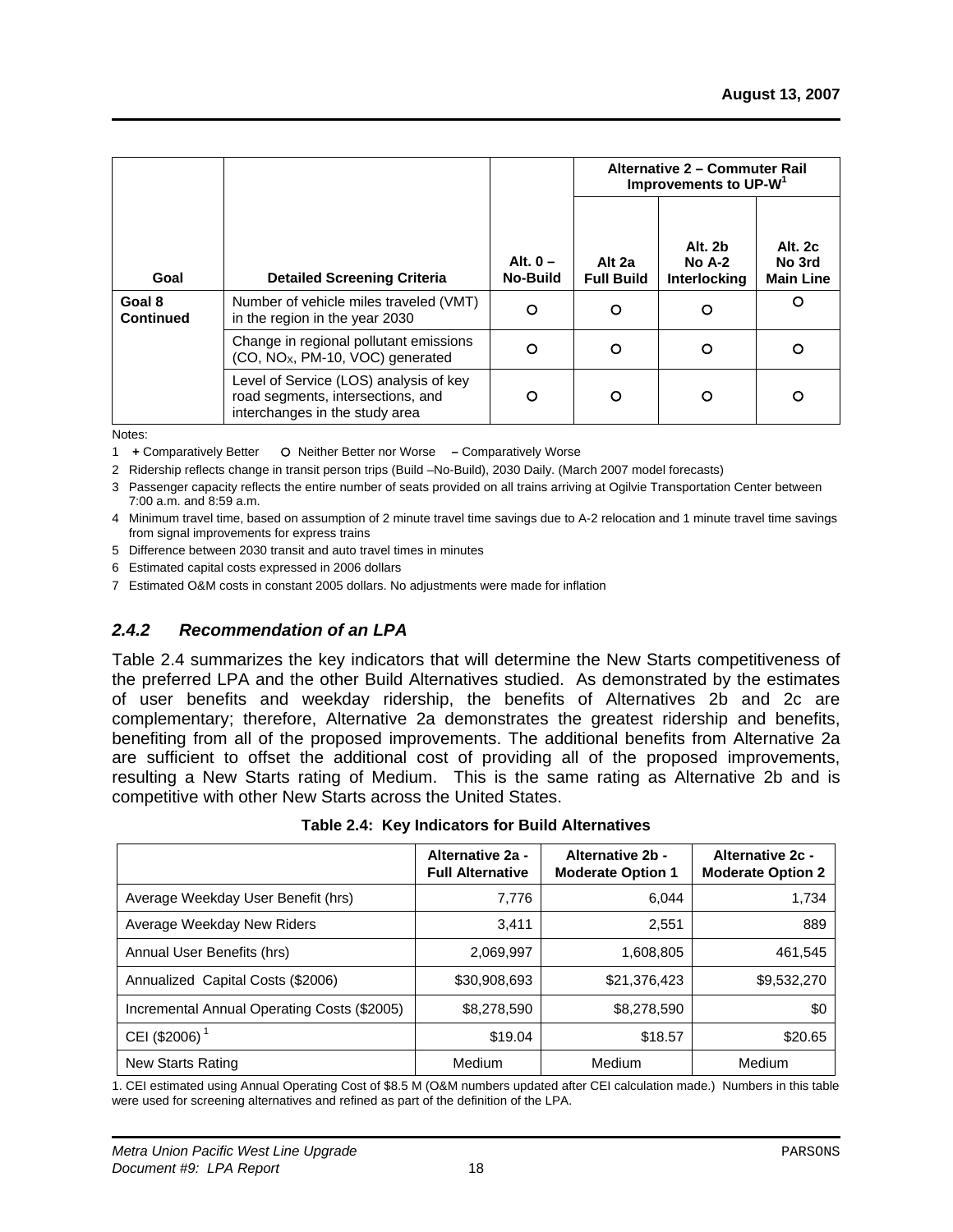|                            |                                                                                                               |                               | Alternative 2 - Commuter Rail<br>Improvements to UP-W <sup>1</sup> |                                            |                                              |  |
|----------------------------|---------------------------------------------------------------------------------------------------------------|-------------------------------|--------------------------------------------------------------------|--------------------------------------------|----------------------------------------------|--|
| Goal                       | <b>Detailed Screening Criteria</b>                                                                            | Alt. $0 -$<br><b>No-Build</b> | Alt 2a<br><b>Full Build</b>                                        | Alt. 2b<br>$No A-2$<br><b>Interlocking</b> | <b>Alt. 2c</b><br>No 3rd<br><b>Main Line</b> |  |
| Goal 8<br><b>Continued</b> | Number of vehicle miles traveled (VMT)<br>in the region in the year 2030                                      | Ω                             | O                                                                  | Ω                                          | Ω                                            |  |
|                            | Change in regional pollutant emissions<br>(CO, NO <sub>X</sub> , PM-10, VOC) generated                        | ∩                             | O                                                                  | Ω                                          | O                                            |  |
|                            | Level of Service (LOS) analysis of key<br>road segments, intersections, and<br>interchanges in the study area | ∩                             | O                                                                  | ∩                                          | O                                            |  |

Notes:

1 **+** Comparatively Better { Neither Better nor Worse **–** Comparatively Worse

2 Ridership reflects change in transit person trips (Build –No-Build), 2030 Daily. (March 2007 model forecasts)

3 Passenger capacity reflects the entire number of seats provided on all trains arriving at Ogilvie Transportation Center between 7:00 a.m. and 8:59 a.m.

4 Minimum travel time, based on assumption of 2 minute travel time savings due to A-2 relocation and 1 minute travel time savings from signal improvements for express trains

5 Difference between 2030 transit and auto travel times in minutes

6 Estimated capital costs expressed in 2006 dollars

7 Estimated O&M costs in constant 2005 dollars. No adjustments were made for inflation

#### *2.4.2 Recommendation of an LPA*

Table 2.4 summarizes the key indicators that will determine the New Starts competitiveness of the preferred LPA and the other Build Alternatives studied. As demonstrated by the estimates of user benefits and weekday ridership, the benefits of Alternatives 2b and 2c are complementary; therefore, Alternative 2a demonstrates the greatest ridership and benefits, benefiting from all of the proposed improvements. The additional benefits from Alternative 2a are sufficient to offset the additional cost of providing all of the proposed improvements, resulting a New Starts rating of Medium. This is the same rating as Alternative 2b and is competitive with other New Starts across the United States.

|  |  |  |  |  | Table 2.4: Key Indicators for Build Alternatives |
|--|--|--|--|--|--------------------------------------------------|
|--|--|--|--|--|--------------------------------------------------|

|                                             | Alternative 2a -<br><b>Full Alternative</b> | Alternative 2b -<br><b>Moderate Option 1</b> | Alternative 2c -<br><b>Moderate Option 2</b> |
|---------------------------------------------|---------------------------------------------|----------------------------------------------|----------------------------------------------|
| Average Weekday User Benefit (hrs)          | 7,776                                       | 6,044                                        | 1,734                                        |
| Average Weekday New Riders                  | 3,411                                       | 2,551                                        | 889                                          |
| Annual User Benefits (hrs)                  | 2,069,997                                   | 1,608,805                                    | 461,545                                      |
| Annualized Capital Costs (\$2006)           | \$30,908,693                                | \$21,376,423                                 | \$9,532,270                                  |
| Incremental Annual Operating Costs (\$2005) | \$8,278,590                                 | \$8,278,590                                  | \$0                                          |
| CEI (\$2006) <sup>1</sup>                   | \$19.04                                     | \$18.57                                      | \$20.65                                      |
| New Starts Rating                           | Medium                                      | Medium                                       | Medium                                       |

1. CEI estimated using Annual Operating Cost of \$8.5 M (O&M numbers updated after CEI calculation made.) Numbers in this table were used for screening alternatives and refined as part of the definition of the LPA.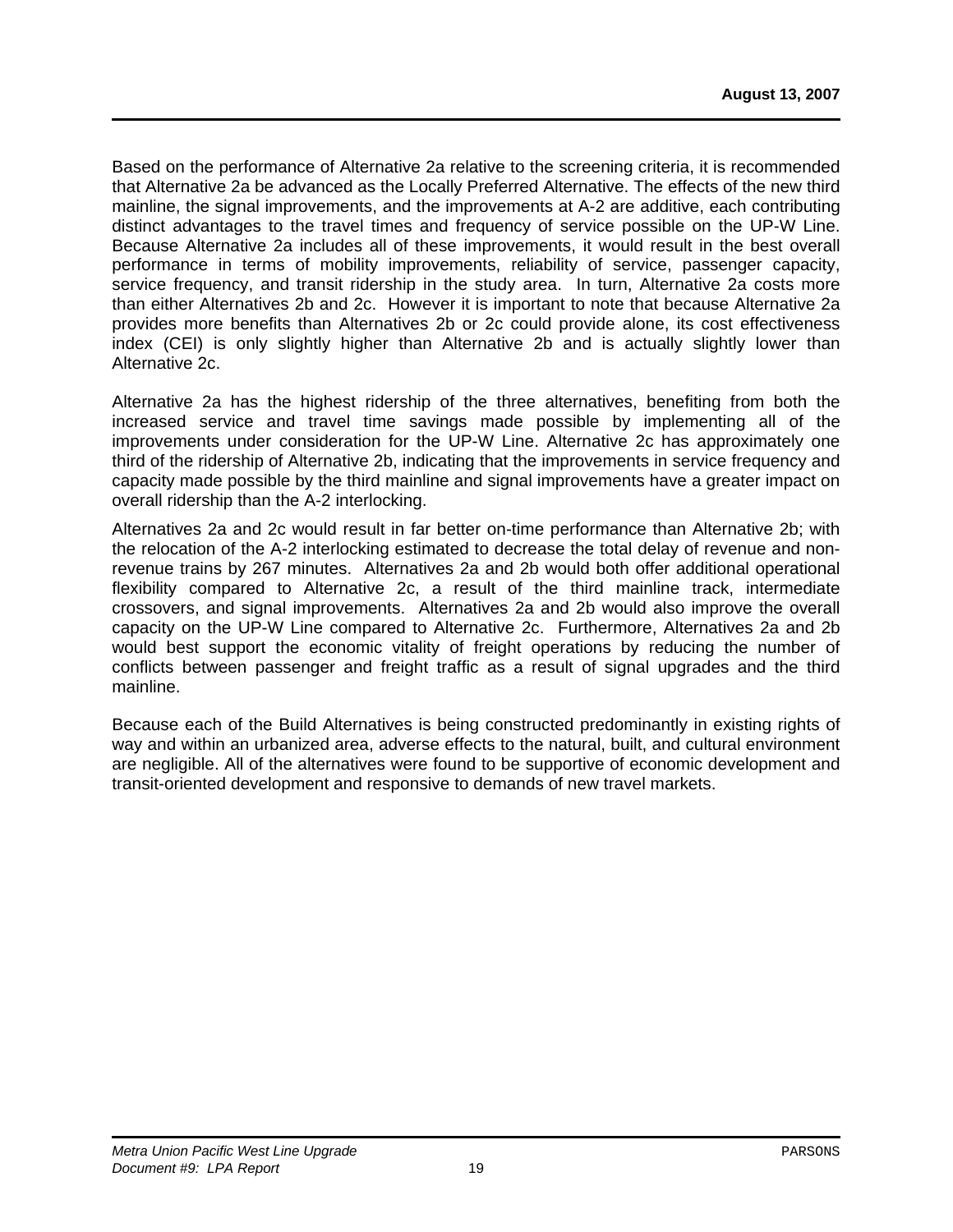Based on the performance of Alternative 2a relative to the screening criteria, it is recommended that Alternative 2a be advanced as the Locally Preferred Alternative. The effects of the new third mainline, the signal improvements, and the improvements at A-2 are additive, each contributing distinct advantages to the travel times and frequency of service possible on the UP-W Line. Because Alternative 2a includes all of these improvements, it would result in the best overall performance in terms of mobility improvements, reliability of service, passenger capacity, service frequency, and transit ridership in the study area. In turn, Alternative 2a costs more than either Alternatives 2b and 2c. However it is important to note that because Alternative 2a provides more benefits than Alternatives 2b or 2c could provide alone, its cost effectiveness index (CEI) is only slightly higher than Alternative 2b and is actually slightly lower than Alternative 2c.

Alternative 2a has the highest ridership of the three alternatives, benefiting from both the increased service and travel time savings made possible by implementing all of the improvements under consideration for the UP-W Line. Alternative 2c has approximately one third of the ridership of Alternative 2b, indicating that the improvements in service frequency and capacity made possible by the third mainline and signal improvements have a greater impact on overall ridership than the A-2 interlocking.

Alternatives 2a and 2c would result in far better on-time performance than Alternative 2b; with the relocation of the A-2 interlocking estimated to decrease the total delay of revenue and nonrevenue trains by 267 minutes. Alternatives 2a and 2b would both offer additional operational flexibility compared to Alternative 2c, a result of the third mainline track, intermediate crossovers, and signal improvements. Alternatives 2a and 2b would also improve the overall capacity on the UP-W Line compared to Alternative 2c. Furthermore, Alternatives 2a and 2b would best support the economic vitality of freight operations by reducing the number of conflicts between passenger and freight traffic as a result of signal upgrades and the third mainline.

Because each of the Build Alternatives is being constructed predominantly in existing rights of way and within an urbanized area, adverse effects to the natural, built, and cultural environment are negligible. All of the alternatives were found to be supportive of economic development and transit-oriented development and responsive to demands of new travel markets.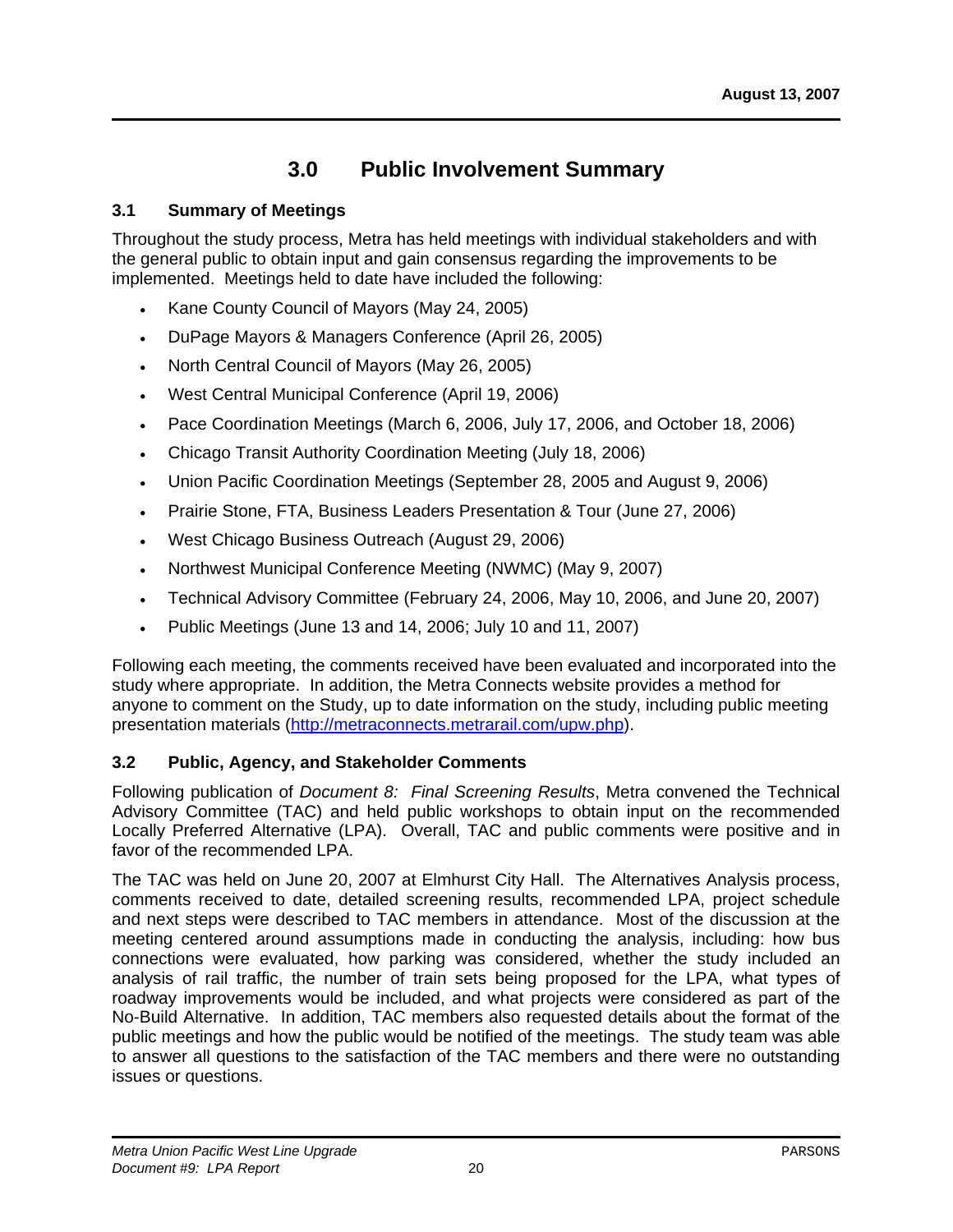## **3.0 Public Involvement Summary**

#### **3.1 Summary of Meetings**

Throughout the study process, Metra has held meetings with individual stakeholders and with the general public to obtain input and gain consensus regarding the improvements to be implemented. Meetings held to date have included the following:

- Kane County Council of Mayors (May 24, 2005)
- DuPage Mayors & Managers Conference (April 26, 2005)
- North Central Council of Mayors (May 26, 2005)
- West Central Municipal Conference (April 19, 2006)
- Pace Coordination Meetings (March 6, 2006, July 17, 2006, and October 18, 2006)
- Chicago Transit Authority Coordination Meeting (July 18, 2006)
- Union Pacific Coordination Meetings (September 28, 2005 and August 9, 2006)
- Prairie Stone, FTA, Business Leaders Presentation & Tour (June 27, 2006)
- West Chicago Business Outreach (August 29, 2006)
- Northwest Municipal Conference Meeting (NWMC) (May 9, 2007)
- Technical Advisory Committee (February 24, 2006, May 10, 2006, and June 20, 2007)
- Public Meetings (June 13 and 14, 2006; July 10 and 11, 2007)

Following each meeting, the comments received have been evaluated and incorporated into the study where appropriate. In addition, the Metra Connects website provides a method for anyone to comment on the Study, up to date information on the study, including public meeting presentation materials (http://metraconnects.metrarail.com/upw.php).

#### **3.2 Public, Agency, and Stakeholder Comments**

Following publication of *Document 8: Final Screening Results*, Metra convened the Technical Advisory Committee (TAC) and held public workshops to obtain input on the recommended Locally Preferred Alternative (LPA). Overall, TAC and public comments were positive and in favor of the recommended LPA.

The TAC was held on June 20, 2007 at Elmhurst City Hall. The Alternatives Analysis process, comments received to date, detailed screening results, recommended LPA, project schedule and next steps were described to TAC members in attendance. Most of the discussion at the meeting centered around assumptions made in conducting the analysis, including: how bus connections were evaluated, how parking was considered, whether the study included an analysis of rail traffic, the number of train sets being proposed for the LPA, what types of roadway improvements would be included, and what projects were considered as part of the No-Build Alternative. In addition, TAC members also requested details about the format of the public meetings and how the public would be notified of the meetings. The study team was able to answer all questions to the satisfaction of the TAC members and there were no outstanding issues or questions.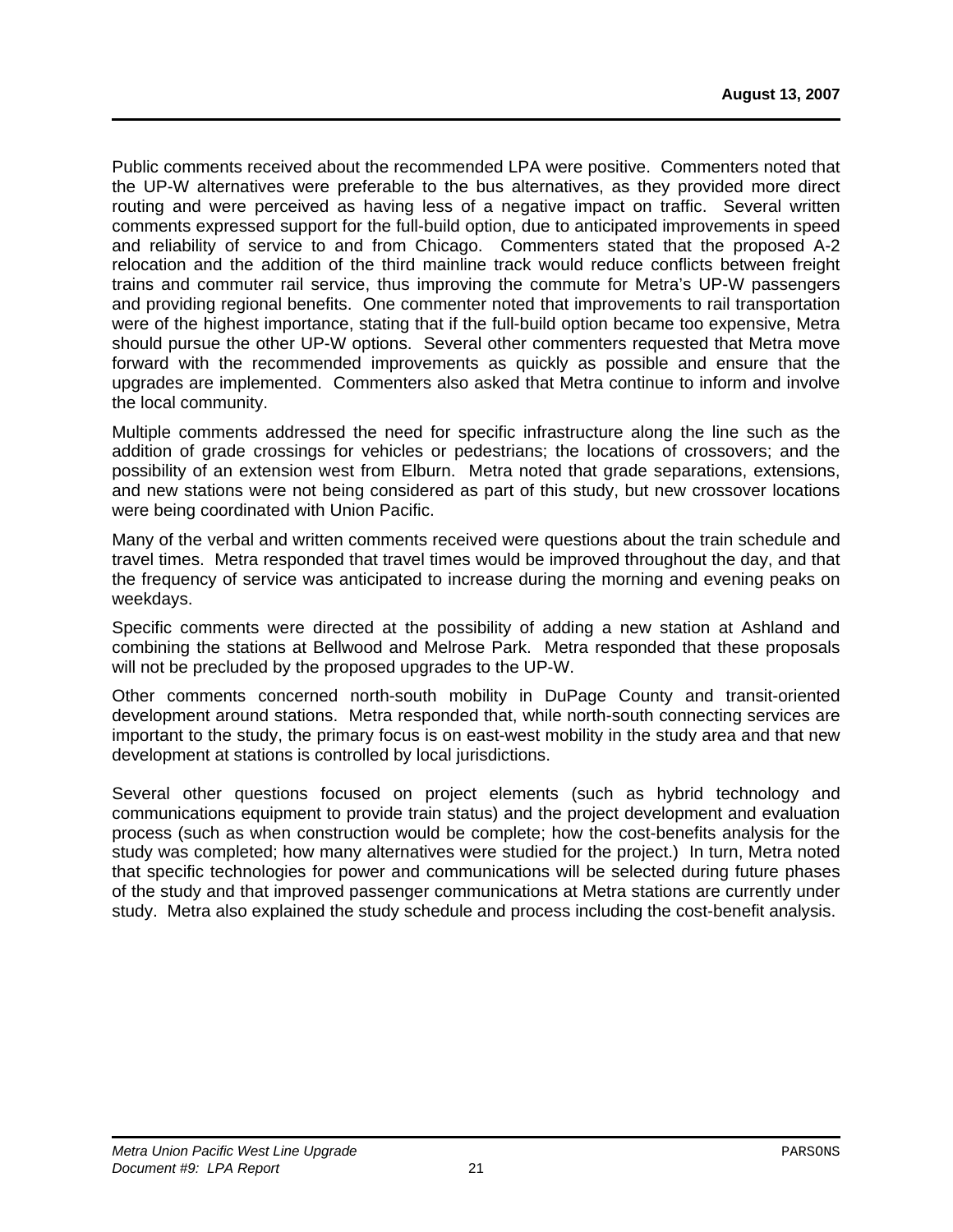Public comments received about the recommended LPA were positive. Commenters noted that the UP-W alternatives were preferable to the bus alternatives, as they provided more direct routing and were perceived as having less of a negative impact on traffic. Several written comments expressed support for the full-build option, due to anticipated improvements in speed and reliability of service to and from Chicago. Commenters stated that the proposed A-2 relocation and the addition of the third mainline track would reduce conflicts between freight trains and commuter rail service, thus improving the commute for Metra's UP-W passengers and providing regional benefits. One commenter noted that improvements to rail transportation were of the highest importance, stating that if the full-build option became too expensive, Metra should pursue the other UP-W options. Several other commenters requested that Metra move forward with the recommended improvements as quickly as possible and ensure that the upgrades are implemented. Commenters also asked that Metra continue to inform and involve the local community.

Multiple comments addressed the need for specific infrastructure along the line such as the addition of grade crossings for vehicles or pedestrians; the locations of crossovers; and the possibility of an extension west from Elburn. Metra noted that grade separations, extensions, and new stations were not being considered as part of this study, but new crossover locations were being coordinated with Union Pacific.

Many of the verbal and written comments received were questions about the train schedule and travel times. Metra responded that travel times would be improved throughout the day, and that the frequency of service was anticipated to increase during the morning and evening peaks on weekdays.

Specific comments were directed at the possibility of adding a new station at Ashland and combining the stations at Bellwood and Melrose Park. Metra responded that these proposals will not be precluded by the proposed upgrades to the UP-W.

Other comments concerned north-south mobility in DuPage County and transit-oriented development around stations. Metra responded that, while north-south connecting services are important to the study, the primary focus is on east-west mobility in the study area and that new development at stations is controlled by local jurisdictions.

Several other questions focused on project elements (such as hybrid technology and communications equipment to provide train status) and the project development and evaluation process (such as when construction would be complete; how the cost-benefits analysis for the study was completed; how many alternatives were studied for the project.) In turn, Metra noted that specific technologies for power and communications will be selected during future phases of the study and that improved passenger communications at Metra stations are currently under study. Metra also explained the study schedule and process including the cost-benefit analysis.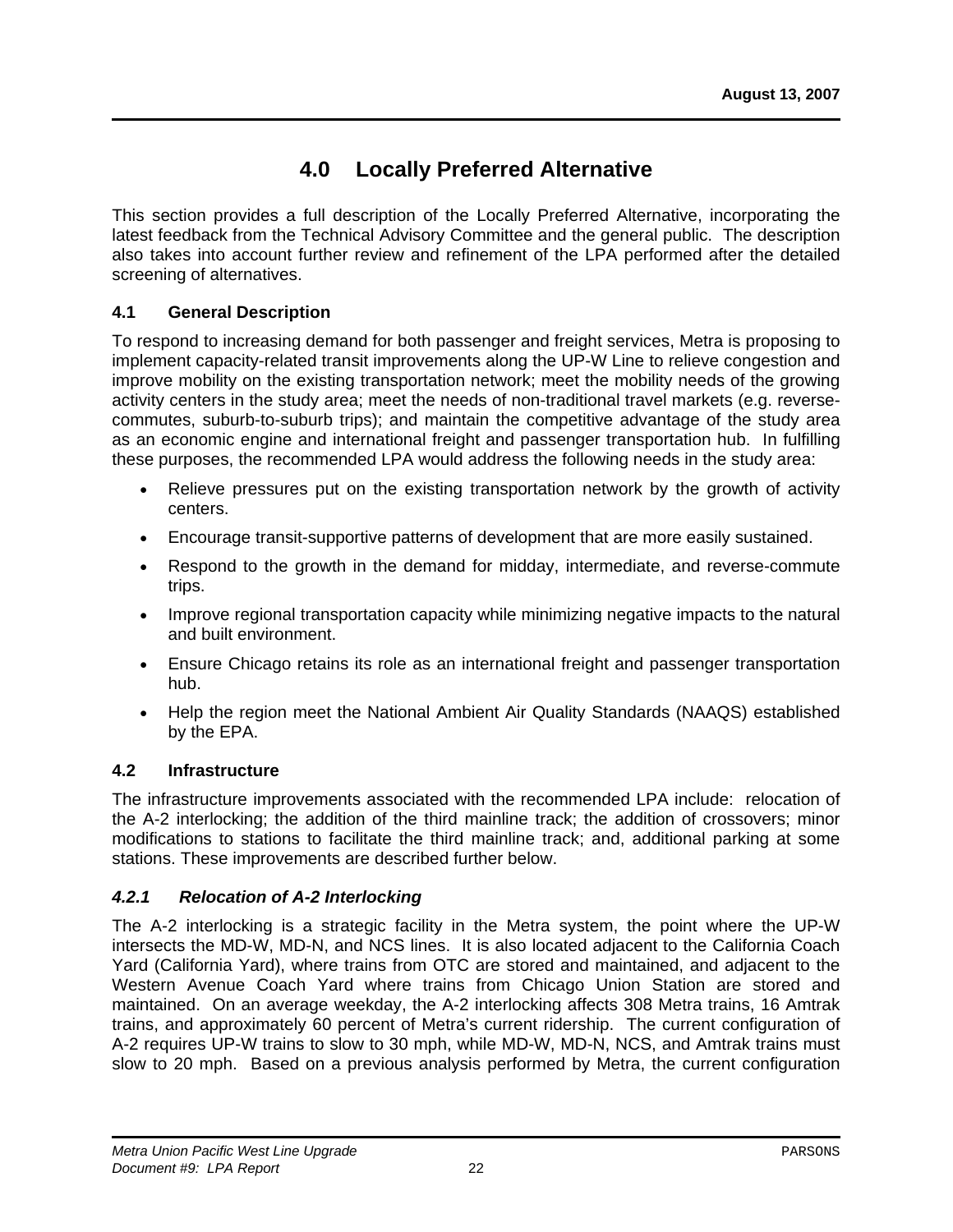# **4.0 Locally Preferred Alternative**

This section provides a full description of the Locally Preferred Alternative, incorporating the latest feedback from the Technical Advisory Committee and the general public. The description also takes into account further review and refinement of the LPA performed after the detailed screening of alternatives.

#### **4.1 General Description**

To respond to increasing demand for both passenger and freight services, Metra is proposing to implement capacity-related transit improvements along the UP-W Line to relieve congestion and improve mobility on the existing transportation network; meet the mobility needs of the growing activity centers in the study area; meet the needs of non-traditional travel markets (e.g. reversecommutes, suburb-to-suburb trips); and maintain the competitive advantage of the study area as an economic engine and international freight and passenger transportation hub. In fulfilling these purposes, the recommended LPA would address the following needs in the study area:

- Relieve pressures put on the existing transportation network by the growth of activity centers.
- Encourage transit-supportive patterns of development that are more easily sustained.
- Respond to the growth in the demand for midday, intermediate, and reverse-commute trips.
- Improve regional transportation capacity while minimizing negative impacts to the natural and built environment.
- Ensure Chicago retains its role as an international freight and passenger transportation hub.
- Help the region meet the National Ambient Air Quality Standards (NAAQS) established by the EPA.

#### **4.2 Infrastructure**

The infrastructure improvements associated with the recommended LPA include: relocation of the A-2 interlocking; the addition of the third mainline track; the addition of crossovers; minor modifications to stations to facilitate the third mainline track; and, additional parking at some stations. These improvements are described further below.

#### *4.2.1 Relocation of A-2 Interlocking*

The A-2 interlocking is a strategic facility in the Metra system, the point where the UP-W intersects the MD-W, MD-N, and NCS lines. It is also located adjacent to the California Coach Yard (California Yard), where trains from OTC are stored and maintained, and adjacent to the Western Avenue Coach Yard where trains from Chicago Union Station are stored and maintained. On an average weekday, the A-2 interlocking affects 308 Metra trains, 16 Amtrak trains, and approximately 60 percent of Metra's current ridership. The current configuration of A-2 requires UP-W trains to slow to 30 mph, while MD-W, MD-N, NCS, and Amtrak trains must slow to 20 mph. Based on a previous analysis performed by Metra, the current configuration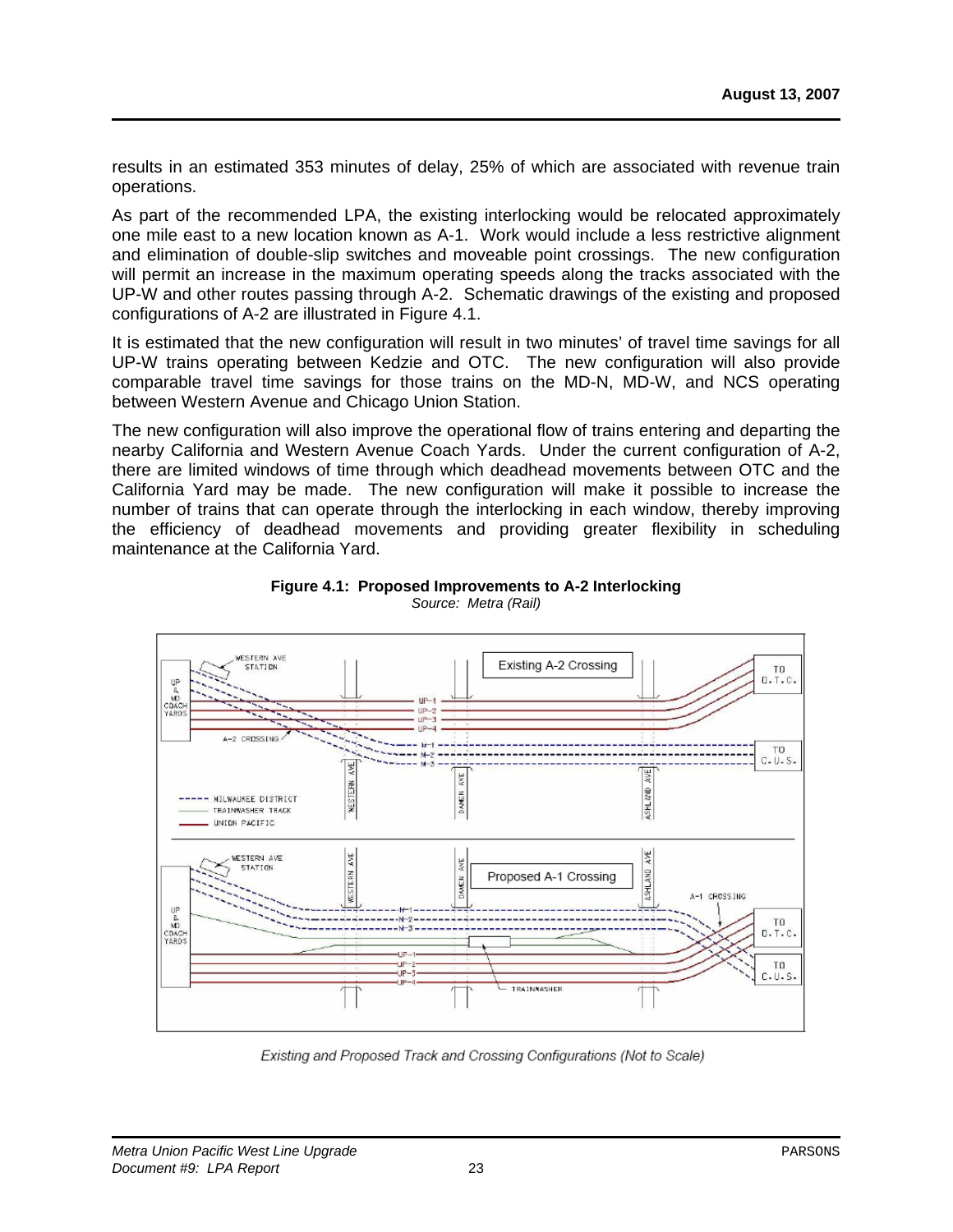results in an estimated 353 minutes of delay, 25% of which are associated with revenue train operations.

As part of the recommended LPA, the existing interlocking would be relocated approximately one mile east to a new location known as A-1. Work would include a less restrictive alignment and elimination of double-slip switches and moveable point crossings. The new configuration will permit an increase in the maximum operating speeds along the tracks associated with the UP-W and other routes passing through A-2. Schematic drawings of the existing and proposed configurations of A-2 are illustrated in Figure 4.1.

It is estimated that the new configuration will result in two minutes' of travel time savings for all UP-W trains operating between Kedzie and OTC. The new configuration will also provide comparable travel time savings for those trains on the MD-N, MD-W, and NCS operating between Western Avenue and Chicago Union Station.

The new configuration will also improve the operational flow of trains entering and departing the nearby California and Western Avenue Coach Yards. Under the current configuration of A-2, there are limited windows of time through which deadhead movements between OTC and the California Yard may be made. The new configuration will make it possible to increase the number of trains that can operate through the interlocking in each window, thereby improving the efficiency of deadhead movements and providing greater flexibility in scheduling maintenance at the California Yard.



**Figure 4.1: Proposed Improvements to A-2 Interlocking**  *Source: Metra (Rail)* 

Existing and Proposed Track and Crossing Configurations (Not to Scale)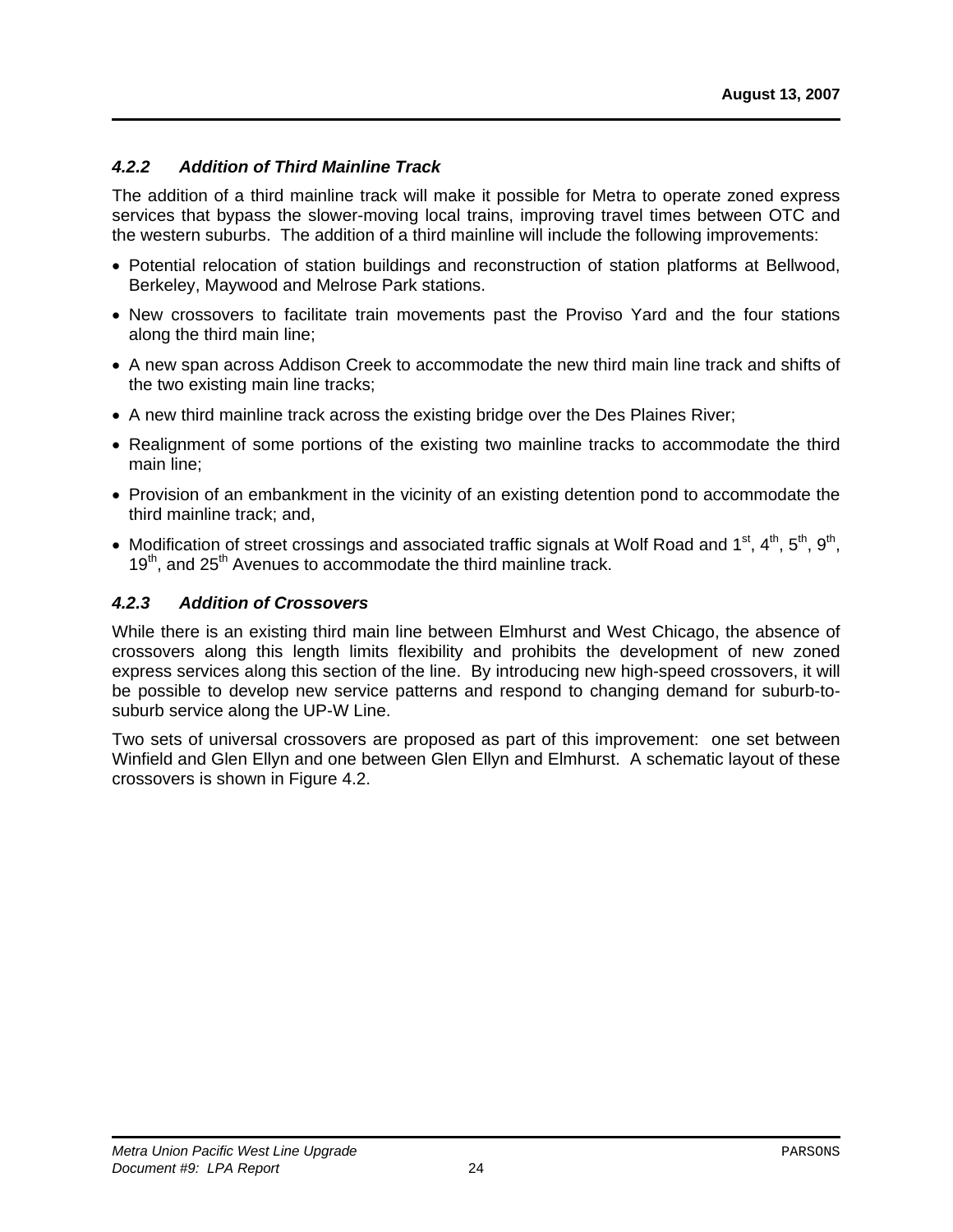#### *4.2.2 Addition of Third Mainline Track*

The addition of a third mainline track will make it possible for Metra to operate zoned express services that bypass the slower-moving local trains, improving travel times between OTC and the western suburbs. The addition of a third mainline will include the following improvements:

- Potential relocation of station buildings and reconstruction of station platforms at Bellwood, Berkeley, Maywood and Melrose Park stations.
- New crossovers to facilitate train movements past the Proviso Yard and the four stations along the third main line;
- A new span across Addison Creek to accommodate the new third main line track and shifts of the two existing main line tracks;
- A new third mainline track across the existing bridge over the Des Plaines River;
- Realignment of some portions of the existing two mainline tracks to accommodate the third main line;
- Provision of an embankment in the vicinity of an existing detention pond to accommodate the third mainline track; and,
- Modification of street crossings and associated traffic signals at Wolf Road and 1<sup>st</sup>, 4<sup>th</sup>, 5<sup>th</sup>, 9<sup>th</sup>,  $19<sup>th</sup>$ , and  $25<sup>th</sup>$  Avenues to accommodate the third mainline track.

#### *4.2.3 Addition of Crossovers*

While there is an existing third main line between Elmhurst and West Chicago, the absence of crossovers along this length limits flexibility and prohibits the development of new zoned express services along this section of the line. By introducing new high-speed crossovers, it will be possible to develop new service patterns and respond to changing demand for suburb-tosuburb service along the UP-W Line.

Two sets of universal crossovers are proposed as part of this improvement: one set between Winfield and Glen Ellyn and one between Glen Ellyn and Elmhurst. A schematic layout of these crossovers is shown in Figure 4.2.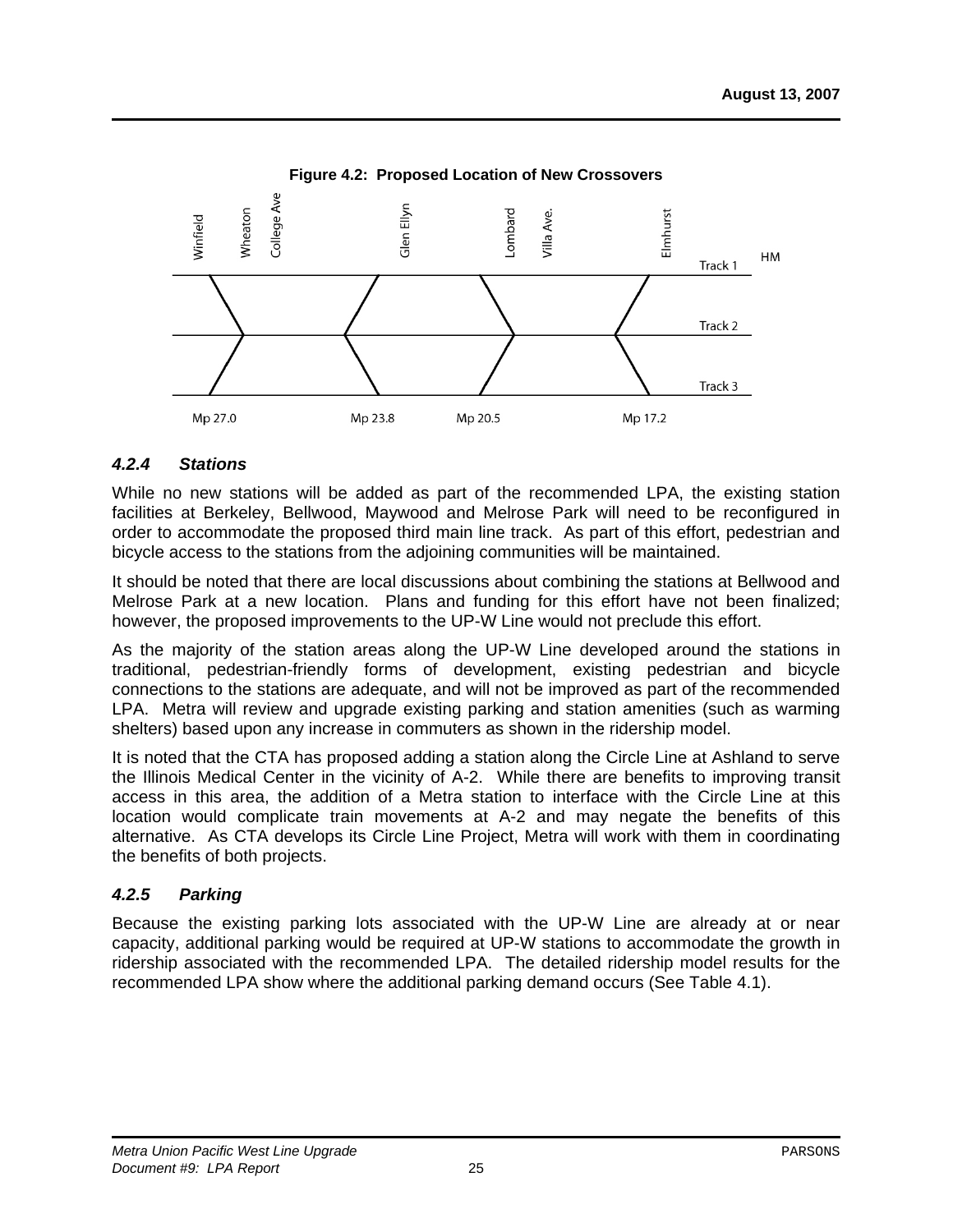

#### *4.2.4 Stations*

While no new stations will be added as part of the recommended LPA, the existing station facilities at Berkeley, Bellwood, Maywood and Melrose Park will need to be reconfigured in order to accommodate the proposed third main line track. As part of this effort, pedestrian and bicycle access to the stations from the adjoining communities will be maintained.

It should be noted that there are local discussions about combining the stations at Bellwood and Melrose Park at a new location. Plans and funding for this effort have not been finalized; however, the proposed improvements to the UP-W Line would not preclude this effort.

As the majority of the station areas along the UP-W Line developed around the stations in traditional, pedestrian-friendly forms of development, existing pedestrian and bicycle connections to the stations are adequate, and will not be improved as part of the recommended LPA. Metra will review and upgrade existing parking and station amenities (such as warming shelters) based upon any increase in commuters as shown in the ridership model.

It is noted that the CTA has proposed adding a station along the Circle Line at Ashland to serve the Illinois Medical Center in the vicinity of A-2. While there are benefits to improving transit access in this area, the addition of a Metra station to interface with the Circle Line at this location would complicate train movements at A-2 and may negate the benefits of this alternative. As CTA develops its Circle Line Project, Metra will work with them in coordinating the benefits of both projects.

#### *4.2.5 Parking*

Because the existing parking lots associated with the UP-W Line are already at or near capacity, additional parking would be required at UP-W stations to accommodate the growth in ridership associated with the recommended LPA. The detailed ridership model results for the recommended LPA show where the additional parking demand occurs (See Table 4.1).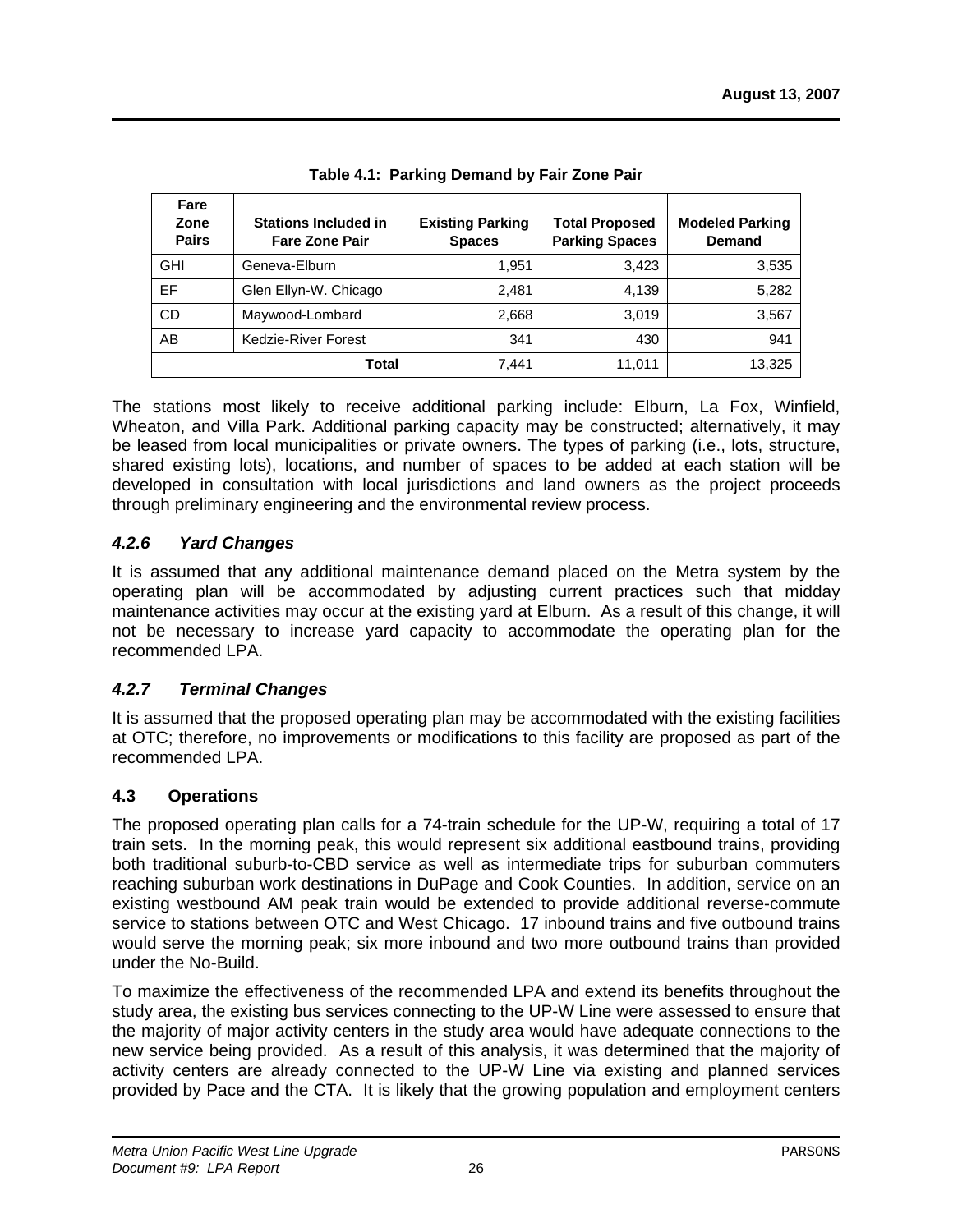| Fare<br>Zone<br><b>Pairs</b> | <b>Stations Included in</b><br><b>Fare Zone Pair</b> | <b>Existing Parking</b><br><b>Spaces</b> | <b>Total Proposed</b><br><b>Parking Spaces</b> | <b>Modeled Parking</b><br>Demand |
|------------------------------|------------------------------------------------------|------------------------------------------|------------------------------------------------|----------------------------------|
| <b>GHI</b>                   | Geneva-Elburn                                        | 1,951                                    | 3,423                                          | 3,535                            |
| <b>EF</b>                    | Glen Ellyn-W. Chicago                                | 2,481                                    | 4,139                                          | 5,282                            |
| <b>CD</b>                    | Maywood-Lombard                                      | 2,668                                    | 3,019                                          | 3,567                            |
| AB                           | <b>Kedzie-River Forest</b>                           | 341                                      | 430                                            | 941                              |
|                              | Total                                                | 7,441                                    | 11,011                                         | 13.325                           |

**Table 4.1: Parking Demand by Fair Zone Pair** 

The stations most likely to receive additional parking include: Elburn, La Fox, Winfield, Wheaton, and Villa Park. Additional parking capacity may be constructed; alternatively, it may be leased from local municipalities or private owners. The types of parking (i.e., lots, structure, shared existing lots), locations, and number of spaces to be added at each station will be developed in consultation with local jurisdictions and land owners as the project proceeds through preliminary engineering and the environmental review process.

#### *4.2.6 Yard Changes*

It is assumed that any additional maintenance demand placed on the Metra system by the operating plan will be accommodated by adjusting current practices such that midday maintenance activities may occur at the existing yard at Elburn. As a result of this change, it will not be necessary to increase yard capacity to accommodate the operating plan for the recommended LPA.

#### *4.2.7 Terminal Changes*

It is assumed that the proposed operating plan may be accommodated with the existing facilities at OTC; therefore, no improvements or modifications to this facility are proposed as part of the recommended LPA.

#### **4.3 Operations**

The proposed operating plan calls for a 74-train schedule for the UP-W, requiring a total of 17 train sets. In the morning peak, this would represent six additional eastbound trains, providing both traditional suburb-to-CBD service as well as intermediate trips for suburban commuters reaching suburban work destinations in DuPage and Cook Counties. In addition, service on an existing westbound AM peak train would be extended to provide additional reverse-commute service to stations between OTC and West Chicago. 17 inbound trains and five outbound trains would serve the morning peak; six more inbound and two more outbound trains than provided under the No-Build.

To maximize the effectiveness of the recommended LPA and extend its benefits throughout the study area, the existing bus services connecting to the UP-W Line were assessed to ensure that the majority of major activity centers in the study area would have adequate connections to the new service being provided. As a result of this analysis, it was determined that the majority of activity centers are already connected to the UP-W Line via existing and planned services provided by Pace and the CTA. It is likely that the growing population and employment centers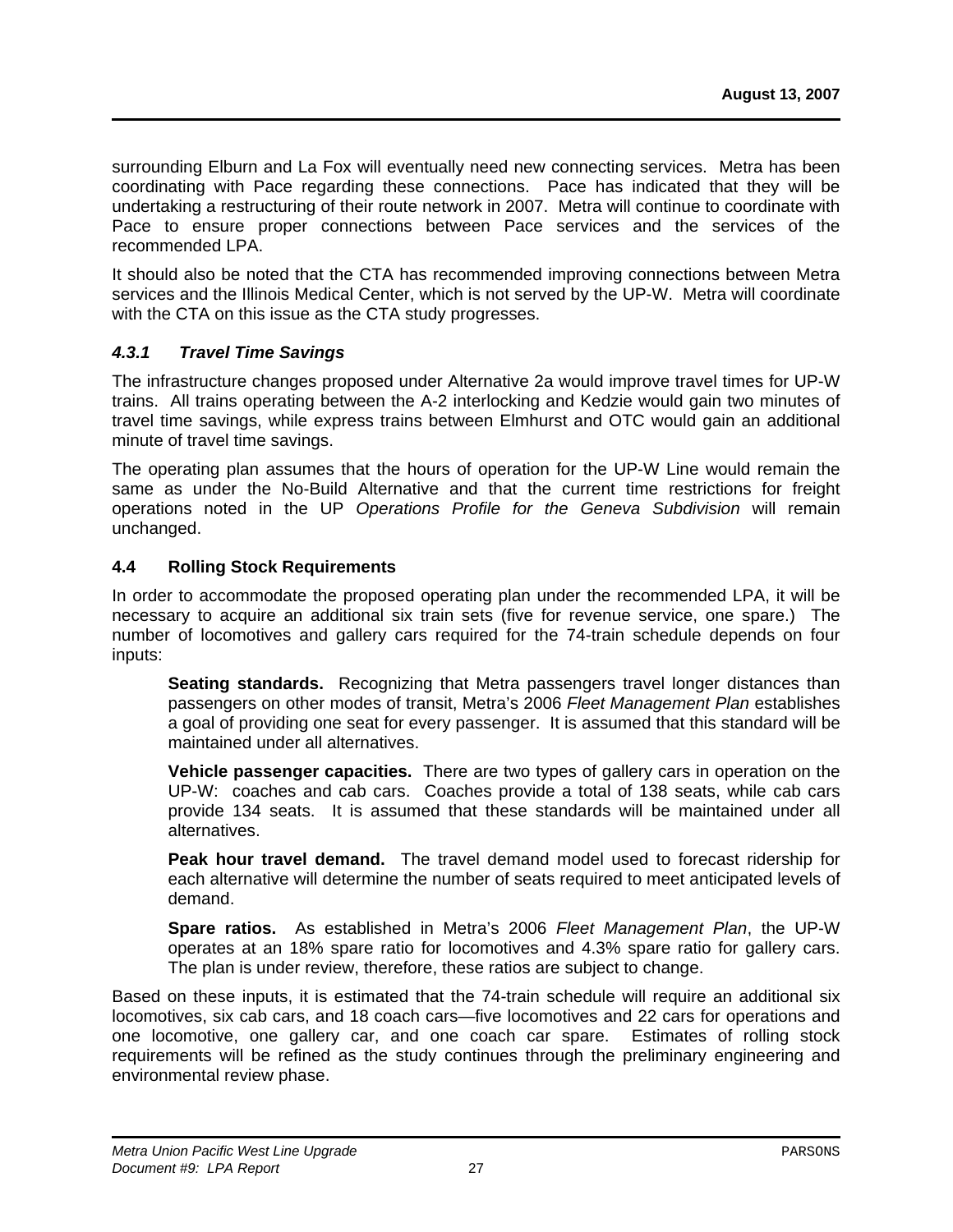surrounding Elburn and La Fox will eventually need new connecting services. Metra has been coordinating with Pace regarding these connections. Pace has indicated that they will be undertaking a restructuring of their route network in 2007. Metra will continue to coordinate with Pace to ensure proper connections between Pace services and the services of the recommended LPA.

It should also be noted that the CTA has recommended improving connections between Metra services and the Illinois Medical Center, which is not served by the UP-W. Metra will coordinate with the CTA on this issue as the CTA study progresses.

#### *4.3.1 Travel Time Savings*

The infrastructure changes proposed under Alternative 2a would improve travel times for UP-W trains. All trains operating between the A-2 interlocking and Kedzie would gain two minutes of travel time savings, while express trains between Elmhurst and OTC would gain an additional minute of travel time savings.

The operating plan assumes that the hours of operation for the UP-W Line would remain the same as under the No-Build Alternative and that the current time restrictions for freight operations noted in the UP *Operations Profile for the Geneva Subdivision* will remain unchanged.

#### **4.4 Rolling Stock Requirements**

In order to accommodate the proposed operating plan under the recommended LPA, it will be necessary to acquire an additional six train sets (five for revenue service, one spare.) The number of locomotives and gallery cars required for the 74-train schedule depends on four inputs:

**Seating standards.** Recognizing that Metra passengers travel longer distances than passengers on other modes of transit, Metra's 2006 *Fleet Management Plan* establishes a goal of providing one seat for every passenger. It is assumed that this standard will be maintained under all alternatives.

**Vehicle passenger capacities.** There are two types of gallery cars in operation on the UP-W: coaches and cab cars. Coaches provide a total of 138 seats, while cab cars provide 134 seats. It is assumed that these standards will be maintained under all alternatives.

**Peak hour travel demand.** The travel demand model used to forecast ridership for each alternative will determine the number of seats required to meet anticipated levels of demand.

**Spare ratios.** As established in Metra's 2006 *Fleet Management Plan*, the UP-W operates at an 18% spare ratio for locomotives and 4.3% spare ratio for gallery cars. The plan is under review, therefore, these ratios are subject to change.

Based on these inputs, it is estimated that the 74-train schedule will require an additional six locomotives, six cab cars, and 18 coach cars—five locomotives and 22 cars for operations and one locomotive, one gallery car, and one coach car spare. Estimates of rolling stock requirements will be refined as the study continues through the preliminary engineering and environmental review phase.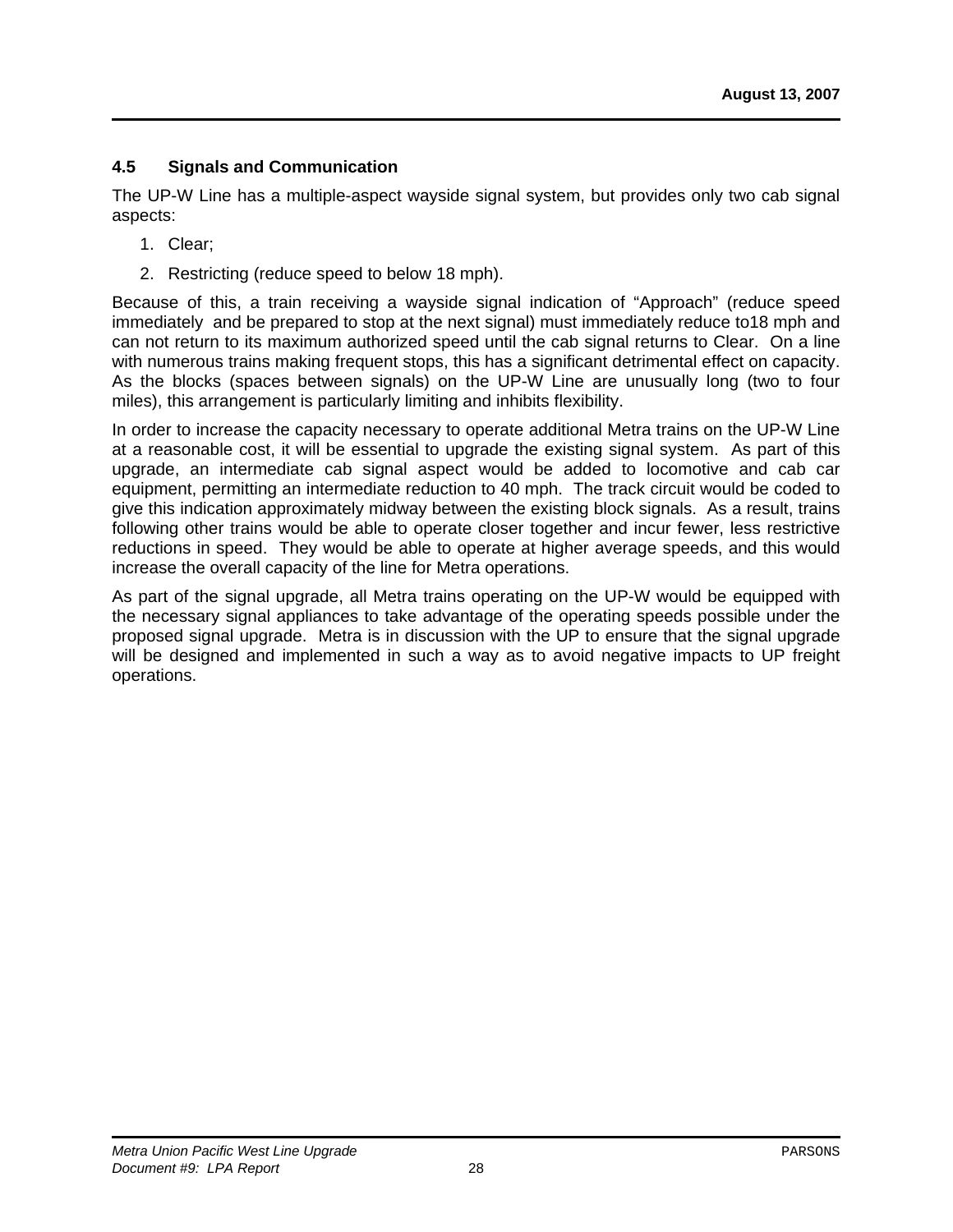#### **4.5 Signals and Communication**

The UP-W Line has a multiple-aspect wayside signal system, but provides only two cab signal aspects:

- 1. Clear;
- 2. Restricting (reduce speed to below 18 mph).

Because of this, a train receiving a wayside signal indication of "Approach" (reduce speed immediately and be prepared to stop at the next signal) must immediately reduce to18 mph and can not return to its maximum authorized speed until the cab signal returns to Clear. On a line with numerous trains making frequent stops, this has a significant detrimental effect on capacity. As the blocks (spaces between signals) on the UP-W Line are unusually long (two to four miles), this arrangement is particularly limiting and inhibits flexibility.

In order to increase the capacity necessary to operate additional Metra trains on the UP-W Line at a reasonable cost, it will be essential to upgrade the existing signal system. As part of this upgrade, an intermediate cab signal aspect would be added to locomotive and cab car equipment, permitting an intermediate reduction to 40 mph. The track circuit would be coded to give this indication approximately midway between the existing block signals. As a result, trains following other trains would be able to operate closer together and incur fewer, less restrictive reductions in speed. They would be able to operate at higher average speeds, and this would increase the overall capacity of the line for Metra operations.

As part of the signal upgrade, all Metra trains operating on the UP-W would be equipped with the necessary signal appliances to take advantage of the operating speeds possible under the proposed signal upgrade. Metra is in discussion with the UP to ensure that the signal upgrade will be designed and implemented in such a way as to avoid negative impacts to UP freight operations.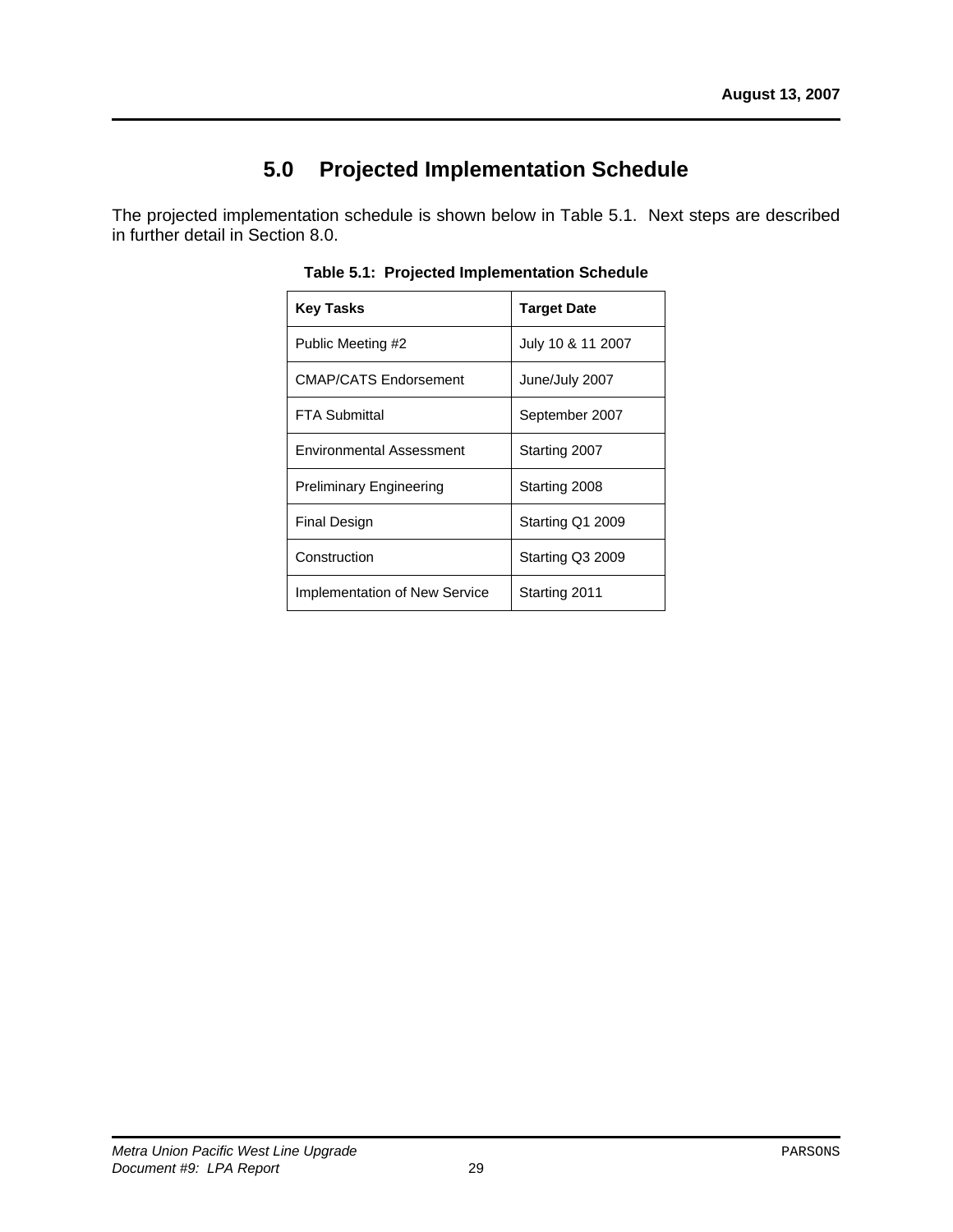# **5.0 Projected Implementation Schedule**

The projected implementation schedule is shown below in Table 5.1. Next steps are described in further detail in Section 8.0.

| <b>Key Tasks</b>                | <b>Target Date</b> |
|---------------------------------|--------------------|
| Public Meeting #2               | July 10 & 11 2007  |
| CMAP/CATS Endorsement           | June/July 2007     |
| <b>FTA Submittal</b>            | September 2007     |
| <b>Environmental Assessment</b> | Starting 2007      |
| <b>Preliminary Engineering</b>  | Starting 2008      |
| <b>Final Design</b>             | Starting Q1 2009   |
| Construction                    | Starting Q3 2009   |
| Implementation of New Service   | Starting 2011      |

**Table 5.1: Projected Implementation Schedule**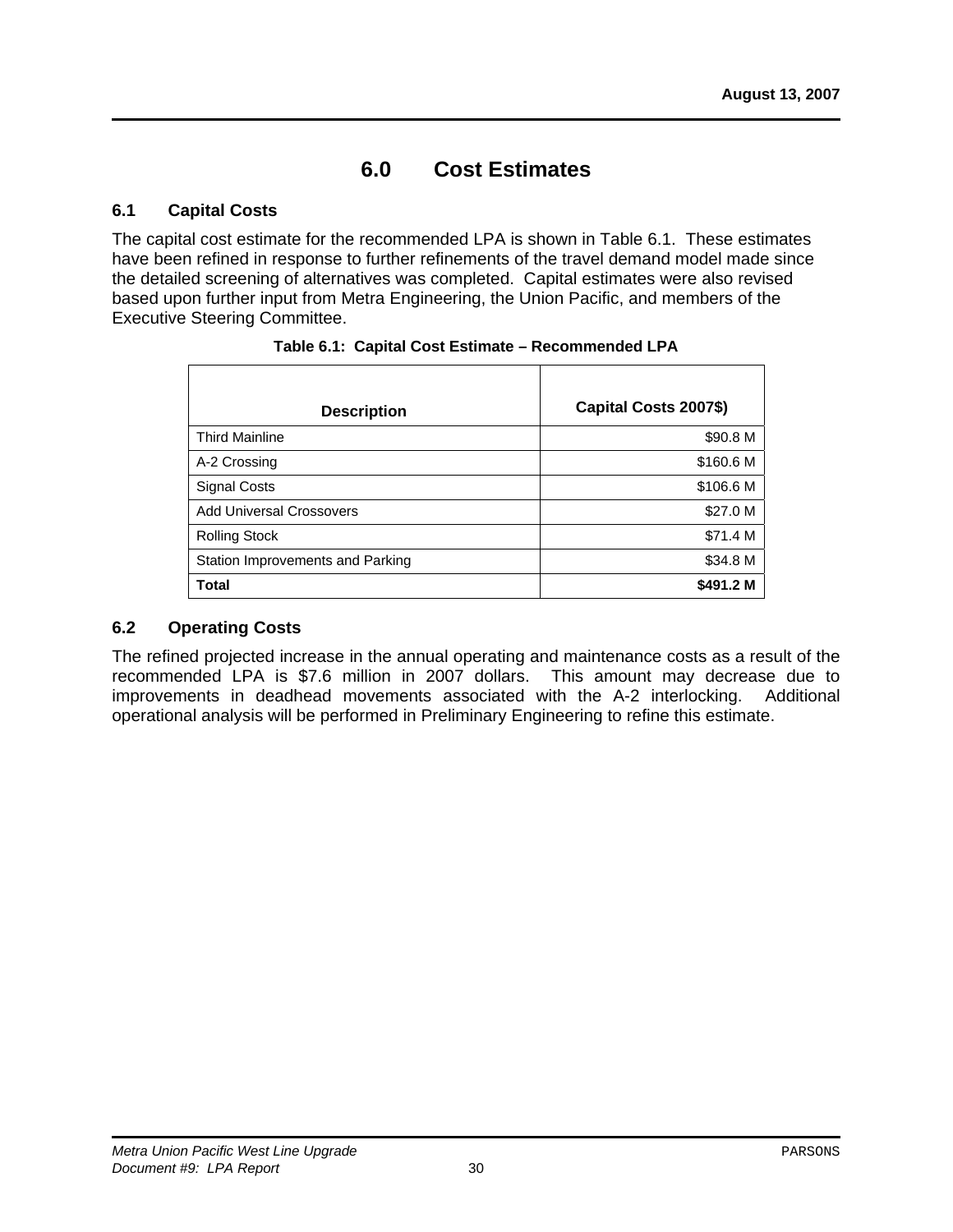## **6.0 Cost Estimates**

#### **6.1 Capital Costs**

The capital cost estimate for the recommended LPA is shown in Table 6.1. These estimates have been refined in response to further refinements of the travel demand model made since the detailed screening of alternatives was completed. Capital estimates were also revised based upon further input from Metra Engineering, the Union Pacific, and members of the Executive Steering Committee.

| <b>Description</b>               | Capital Costs 2007\$) |
|----------------------------------|-----------------------|
| <b>Third Mainline</b>            | \$90.8 M              |
| A-2 Crossing                     | \$160.6 M             |
| Signal Costs                     | \$106.6 M             |
| <b>Add Universal Crossovers</b>  | \$27.0 M              |
| <b>Rolling Stock</b>             | \$71.4 M              |
| Station Improvements and Parking | \$34.8 M              |
| <b>Total</b>                     | \$491.2 M             |

|  | Table 6.1: Capital Cost Estimate - Recommended LPA |  |
|--|----------------------------------------------------|--|
|  |                                                    |  |

#### **6.2 Operating Costs**

The refined projected increase in the annual operating and maintenance costs as a result of the recommended LPA is \$7.6 million in 2007 dollars. This amount may decrease due to improvements in deadhead movements associated with the A-2 interlocking. Additional operational analysis will be performed in Preliminary Engineering to refine this estimate.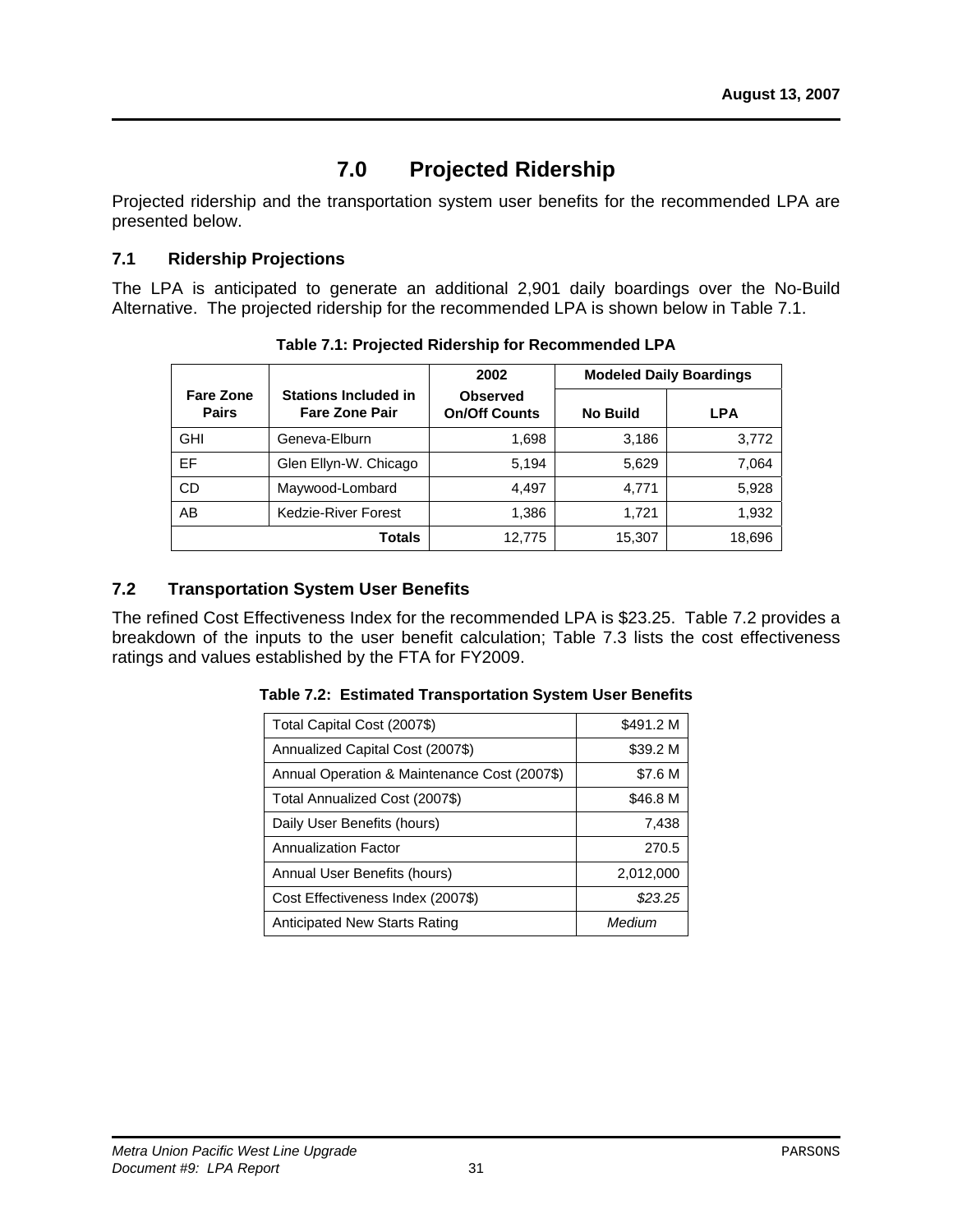## **7.0 Projected Ridership**

Projected ridership and the transportation system user benefits for the recommended LPA are presented below.

#### **7.1 Ridership Projections**

The LPA is anticipated to generate an additional 2,901 daily boardings over the No-Build Alternative. The projected ridership for the recommended LPA is shown below in Table 7.1.

|                                  |                                                      | 2002                                    |                 | <b>Modeled Daily Boardings</b> |
|----------------------------------|------------------------------------------------------|-----------------------------------------|-----------------|--------------------------------|
| <b>Fare Zone</b><br><b>Pairs</b> | <b>Stations Included in</b><br><b>Fare Zone Pair</b> | <b>Observed</b><br><b>On/Off Counts</b> | <b>No Build</b> | <b>LPA</b>                     |
| <b>GHI</b>                       | Geneva-Elburn                                        | 1,698                                   | 3,186           | 3,772                          |
| EF                               | Glen Ellyn-W. Chicago                                | 5,194                                   | 5,629           | 7,064                          |
| <b>CD</b>                        | Maywood-Lombard                                      | 4,497                                   | 4,771           | 5,928                          |
| AB                               | <b>Kedzie-River Forest</b>                           | 1,386                                   | 1,721           | 1,932                          |
|                                  | Totals                                               | 12,775                                  | 15,307          | 18,696                         |

**Table 7.1: Projected Ridership for Recommended LPA** 

#### **7.2 Transportation System User Benefits**

The refined Cost Effectiveness Index for the recommended LPA is \$23.25. Table 7.2 provides a breakdown of the inputs to the user benefit calculation; Table 7.3 lists the cost effectiveness ratings and values established by the FTA for FY2009.

|  |  | Table 7.2: Estimated Transportation System User Benefits |  |  |
|--|--|----------------------------------------------------------|--|--|
|--|--|----------------------------------------------------------|--|--|

| Total Capital Cost (2007\$)                  | \$491.2 M |
|----------------------------------------------|-----------|
| Annualized Capital Cost (2007\$)             | \$39.2 M  |
| Annual Operation & Maintenance Cost (2007\$) | \$7.6 M   |
| Total Annualized Cost (2007\$)               | \$46.8 M  |
| Daily User Benefits (hours)                  | 7,438     |
| <b>Annualization Factor</b>                  | 270.5     |
| Annual User Benefits (hours)                 | 2,012,000 |
| Cost Effectiveness Index (2007\$)            | \$23.25   |
| Anticipated New Starts Rating                | Medium    |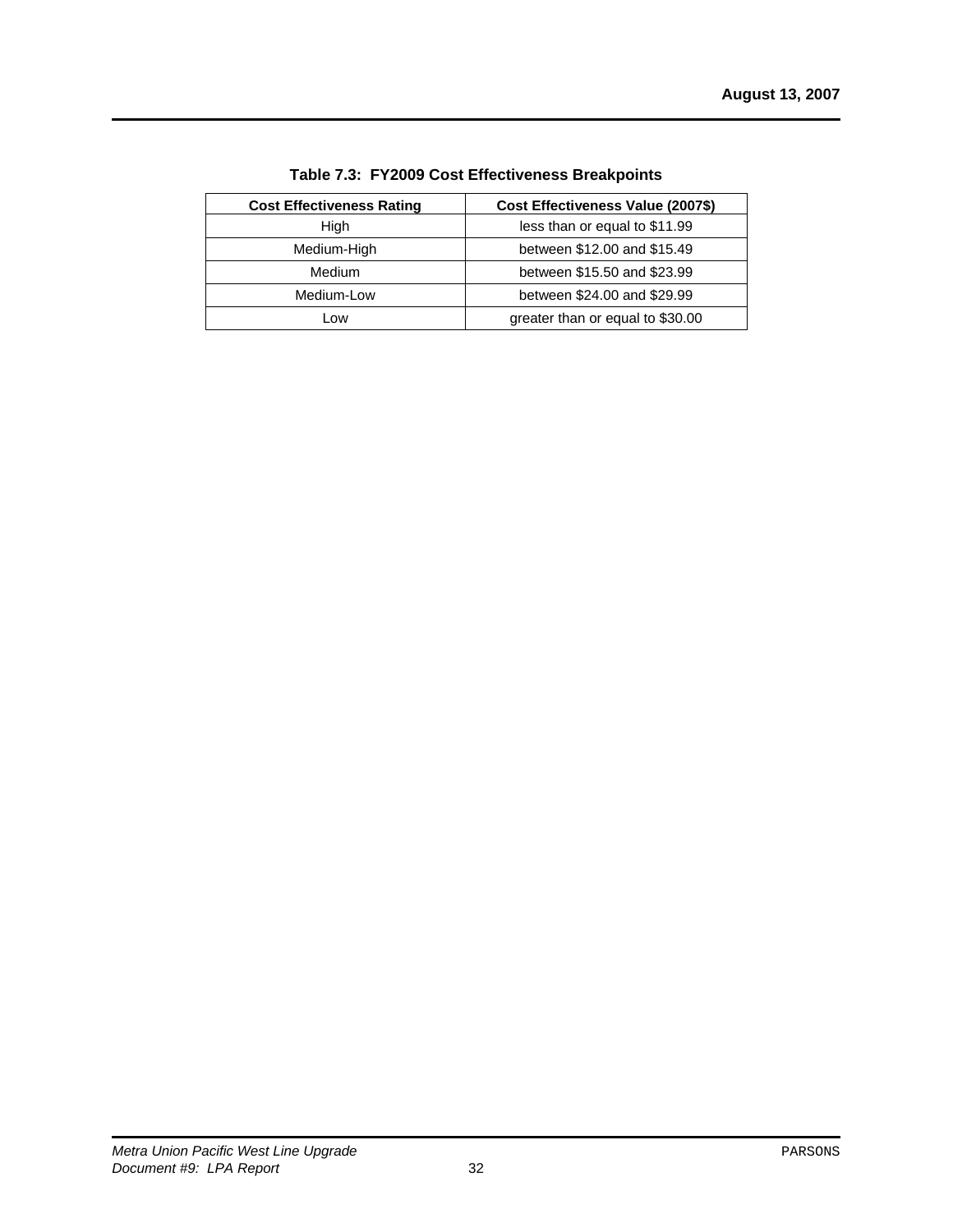| <b>Cost Effectiveness Rating</b> | Cost Effectiveness Value (2007\$) |
|----------------------------------|-----------------------------------|
| High                             | less than or equal to \$11.99     |
| Medium-High                      | between \$12.00 and \$15.49       |
| Medium                           | between \$15.50 and \$23.99       |
| Medium-Low                       | between \$24.00 and \$29.99       |
| _OW                              | greater than or equal to \$30.00  |

**Table 7.3: FY2009 Cost Effectiveness Breakpoints**